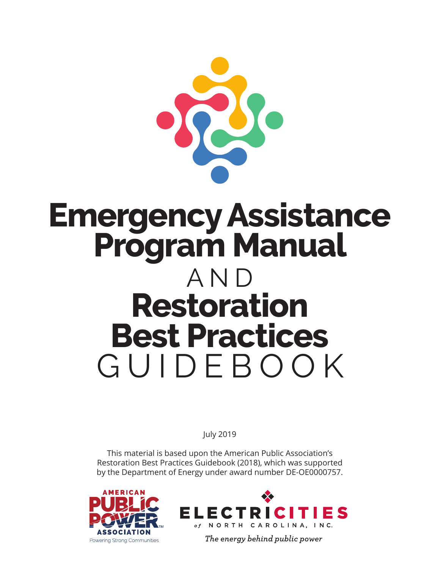

# **Emergency Assistance Program Manual**  AND **Restoration Best Practices**  GUIDEBOOK

July 2019

This material is based upon the American Public Association's Restoration Best Practices Guidebook (2018), which was supported by the Department of Energy under award number DE-OE0000757.





The energy behind public power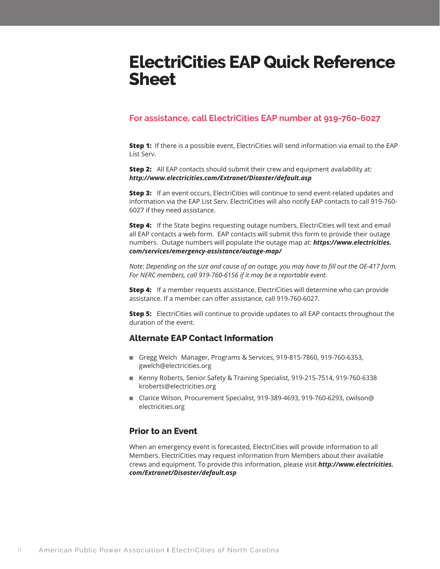# **ElectriCities EAP Quick Reference Sheet**

# **For assistance, call ElectriCities EAP number at 919-760-6027**

**Step 1:** If there is a possible event, ElectriCities will send information via email to the EAP List Serv.

**Step 2:** All EAP contacts should submit their crew and equipment availability at: *http://www.electricities.com/Extranet/Disaster/default.asp* 

**Step 3:** If an event occurs, ElectriCities will continue to send event-related updates and information via the EAP List Serv. ElectriCities will also notify EAP contacts to call 919-760- 6027 if they need assistance.

**Step 4:** If the State begins requesting outage numbers, ElectriCities will text and email all EAP contacts a web form. EAP contacts will submit this form to provide their outage numbers. Outage numbers will populate the outage map at: *https://www.electricities. com/services/emergency-assistance/outage-map/* 

*Note: Depending on the size and cause of an outage, you may have to fill out the OE-417 form. For NERC members, call 919-760-6156 if it may be a reportable event.*

**Step 4:** If a member requests assistance, ElectriCities will determine who can provide assistance. If a member can offer assistance, call 919-760-6027.

**Step 5:** ElectriCities will continue to provide updates to all EAP contacts throughout the duration of the event.

# **Alternate EAP Contact Information**

- Gregg Welch Manager, Programs & Services, 919-815-7860, 919-760-6353, gwelch@electricities.org
- Kenny Roberts, Senior Safety & Training Specialist, 919-215-7514, 919-760-6338 kroberts@electricities.org
- Clarice Wilson, Procurement Specialist, 919-389-4693, 919-760-6293, cwilson@ electricities.org

# **Prior to an Event**

When an emergency event is forecasted, ElectriCities will provide information to all Members. ElectriCities may request information from Members about their available crews and equipment. To provide this information, please visit *http://www.electricities. com/Extranet/Disaster/default.asp*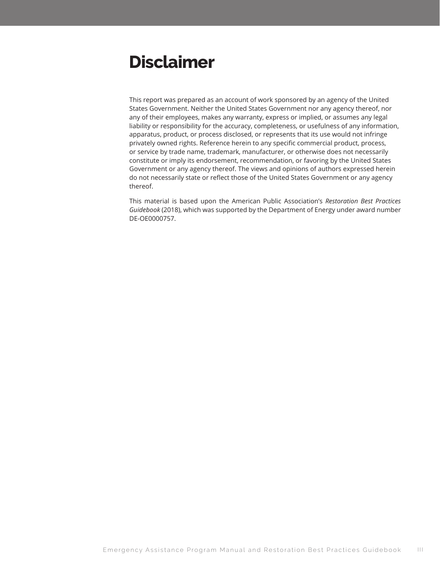# **Disclaimer**

This report was prepared as an account of work sponsored by an agency of the United States Government. Neither the United States Government nor any agency thereof, nor any of their employees, makes any warranty, express or implied, or assumes any legal liability or responsibility for the accuracy, completeness, or usefulness of any information, apparatus, product, or process disclosed, or represents that its use would not infringe privately owned rights. Reference herein to any specific commercial product, process, or service by trade name, trademark, manufacturer, or otherwise does not necessarily constitute or imply its endorsement, recommendation, or favoring by the United States Government or any agency thereof. The views and opinions of authors expressed herein do not necessarily state or reflect those of the United States Government or any agency thereof.

This material is based upon the American Public Association's *Restoration Best Practices Guidebook* (2018), which was supported by the Department of Energy under award number DE-OE0000757.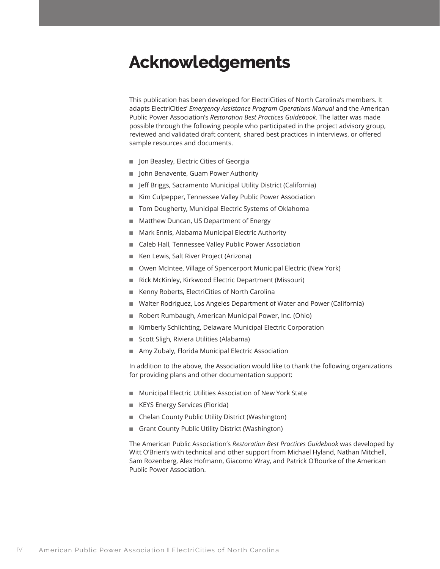# **Acknowledgements**

This publication has been developed for ElectriCities of North Carolina's members. It adapts ElectriCities' *Emergency Assistance Program Operations Manual* and the American Public Power Association's *Restoration Best Practices Guidebook*. The latter was made possible through the following people who participated in the project advisory group, reviewed and validated draft content, shared best practices in interviews, or offered sample resources and documents.

- Jon Beasley, Electric Cities of Georgia
- John Benavente, Guam Power Authority
- Jeff Briggs, Sacramento Municipal Utility District (California)
- Kim Culpepper, Tennessee Valley Public Power Association
- Tom Dougherty, Municipal Electric Systems of Oklahoma
- Matthew Duncan, US Department of Energy
- Mark Ennis, Alabama Municipal Electric Authority
- Caleb Hall, Tennessee Valley Public Power Association
- Ken Lewis, Salt River Project (Arizona)
- Owen McIntee, Village of Spencerport Municipal Electric (New York)
- Rick McKinley, Kirkwood Electric Department (Missouri)
- Kenny Roberts, ElectriCities of North Carolina
- Walter Rodriguez, Los Angeles Department of Water and Power (California)
- Robert Rumbaugh, American Municipal Power, Inc. (Ohio)
- Kimberly Schlichting, Delaware Municipal Electric Corporation
- Scott Sligh, Riviera Utilities (Alabama)
- Amy Zubaly, Florida Municipal Electric Association

In addition to the above, the Association would like to thank the following organizations for providing plans and other documentation support:

- Municipal Electric Utilities Association of New York State
- KEYS Energy Services (Florida)
- Chelan County Public Utility District (Washington)
- Grant County Public Utility District (Washington)

The American Public Association's *Restoration Best Practices Guidebook* was developed by Witt O'Brien's with technical and other support from Michael Hyland, Nathan Mitchell, Sam Rozenberg, Alex Hofmann, Giacomo Wray, and Patrick O'Rourke of the American Public Power Association.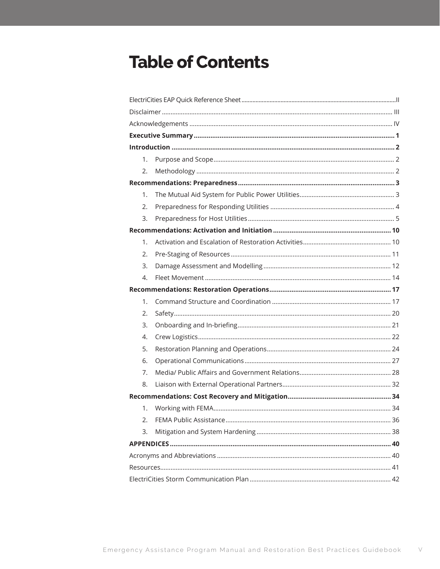# **Table of Contents**

|  | 1. |  |  |  |  |  |  |
|--|----|--|--|--|--|--|--|
|  | 2. |  |  |  |  |  |  |
|  |    |  |  |  |  |  |  |
|  | 1. |  |  |  |  |  |  |
|  | 2. |  |  |  |  |  |  |
|  | 3. |  |  |  |  |  |  |
|  |    |  |  |  |  |  |  |
|  | 1. |  |  |  |  |  |  |
|  | 2. |  |  |  |  |  |  |
|  | 3. |  |  |  |  |  |  |
|  | 4. |  |  |  |  |  |  |
|  |    |  |  |  |  |  |  |
|  | 1. |  |  |  |  |  |  |
|  | 2. |  |  |  |  |  |  |
|  | 3. |  |  |  |  |  |  |
|  | 4. |  |  |  |  |  |  |
|  | 5. |  |  |  |  |  |  |
|  | 6. |  |  |  |  |  |  |
|  | 7. |  |  |  |  |  |  |
|  | 8. |  |  |  |  |  |  |
|  |    |  |  |  |  |  |  |
|  | 1. |  |  |  |  |  |  |
|  | 2. |  |  |  |  |  |  |
|  | 3. |  |  |  |  |  |  |
|  |    |  |  |  |  |  |  |
|  |    |  |  |  |  |  |  |
|  |    |  |  |  |  |  |  |
|  |    |  |  |  |  |  |  |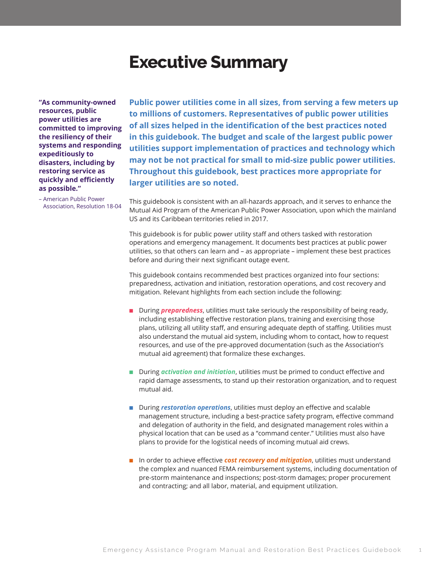# **Executive Summary**

**"As community-owned resources, public power utilities are committed to improving the resiliency of their systems and responding expeditiously to disasters, including by restoring service as quickly and efficiently as possible."** 

– American Public Power Association, Resolution 18-04

**Public power utilities come in all sizes, from serving a few meters up to millions of customers. Representatives of public power utilities of all sizes helped in the identification of the best practices noted in this guidebook. The budget and scale of the largest public power utilities support implementation of practices and technology which may not be not practical for small to mid-size public power utilities. Throughout this guidebook, best practices more appropriate for larger utilities are so noted.** 

This guidebook is consistent with an all-hazards approach, and it serves to enhance the Mutual Aid Program of the American Public Power Association, upon which the mainland US and its Caribbean territories relied in 2017.

This guidebook is for public power utility staff and others tasked with restoration operations and emergency management. It documents best practices at public power utilities, so that others can learn and – as appropriate – implement these best practices before and during their next significant outage event.

This guidebook contains recommended best practices organized into four sections: preparedness, activation and initiation, restoration operations, and cost recovery and mitigation. Relevant highlights from each section include the following:

- During *preparedness*, utilities must take seriously the responsibility of being ready, including establishing effective restoration plans, training and exercising those plans, utilizing all utility staff, and ensuring adequate depth of staffing. Utilities must also understand the mutual aid system, including whom to contact, how to request resources, and use of the pre-approved documentation (such as the Association's mutual aid agreement) that formalize these exchanges.
- During *activation and initiation*, utilities must be primed to conduct effective and rapid damage assessments, to stand up their restoration organization, and to request mutual aid.
- During *restoration operations*, utilities must deploy an effective and scalable management structure, including a best-practice safety program, effective command and delegation of authority in the field, and designated management roles within a physical location that can be used as a "command center." Utilities must also have plans to provide for the logistical needs of incoming mutual aid crews.
- In order to achieve effective *cost recovery and mitigation*, utilities must understand the complex and nuanced FEMA reimbursement systems, including documentation of pre-storm maintenance and inspections; post-storm damages; proper procurement and contracting; and all labor, material, and equipment utilization.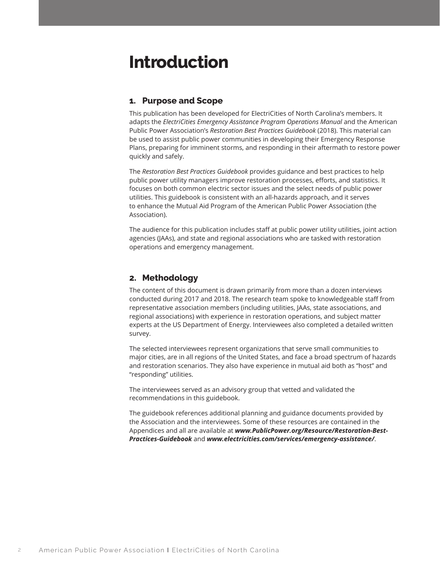# **Introduction**

# **1. Purpose and Scope**

This publication has been developed for ElectriCities of North Carolina's members. It adapts the *ElectriCities Emergency Assistance Program Operations Manual* and the American Public Power Association's *Restoration Best Practices Guidebook* (2018). This material can be used to assist public power communities in developing their Emergency Response Plans, preparing for imminent storms, and responding in their aftermath to restore power quickly and safely.

The *Restoration Best Practices Guidebook* provides guidance and best practices to help public power utility managers improve restoration processes, efforts, and statistics. It focuses on both common electric sector issues and the select needs of public power utilities. This guidebook is consistent with an all-hazards approach, and it serves to enhance the Mutual Aid Program of the American Public Power Association (the Association).

The audience for this publication includes staff at public power utility utilities, joint action agencies (JAAs), and state and regional associations who are tasked with restoration operations and emergency management.

# **2. Methodology**

The content of this document is drawn primarily from more than a dozen interviews conducted during 2017 and 2018. The research team spoke to knowledgeable staff from representative association members (including utilities, JAAs, state associations, and regional associations) with experience in restoration operations, and subject matter experts at the US Department of Energy. Interviewees also completed a detailed written survey.

The selected interviewees represent organizations that serve small communities to major cities, are in all regions of the United States, and face a broad spectrum of hazards and restoration scenarios. They also have experience in mutual aid both as "host" and "responding" utilities.

The interviewees served as an advisory group that vetted and validated the recommendations in this guidebook.

The guidebook references additional planning and guidance documents provided by the Association and the interviewees. Some of these resources are contained in the Appendices and all are available at *www.PublicPower.org/Resource/Restoration-Best-Practices-Guidebook* and *www.electricities.com/services/emergency-assistance/*.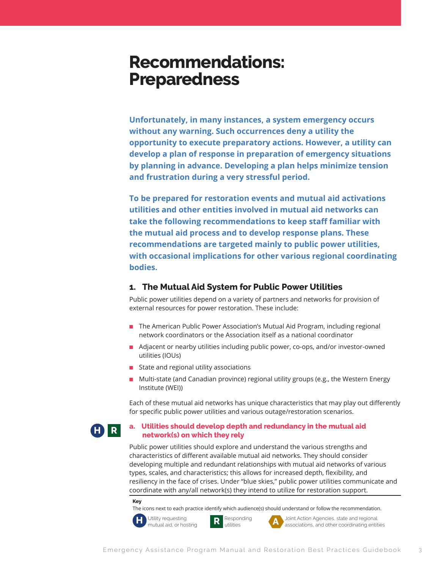# **Recommendations: Preparedness**

**Unfortunately, in many instances, a system emergency occurs without any warning. Such occurrences deny a utility the opportunity to execute preparatory actions. However, a utility can develop a plan of response in preparation of emergency situations by planning in advance. Developing a plan helps minimize tension and frustration during a very stressful period.** 

**To be prepared for restoration events and mutual aid activations utilities and other entities involved in mutual aid networks can take the following recommendations to keep staff familiar with the mutual aid process and to develop response plans. These recommendations are targeted mainly to public power utilities, with occasional implications for other various regional coordinating bodies.** 

### **1. The Mutual Aid System for Public Power Utilities**

Public power utilities depend on a variety of partners and networks for provision of external resources for power restoration. These include:

- The American Public Power Association's Mutual Aid Program, including regional network coordinators or the Association itself as a national coordinator
- Adjacent or nearby utilities including public power, co-ops, and/or investor-owned utilities (IOUs)
- State and regional utility associations
- Multi-state (and Canadian province) regional utility groups (e.g., the Western Energy Institute (WEI))

Each of these mutual aid networks has unique characteristics that may play out differently for specific public power utilities and various outage/restoration scenarios.

# **H R**

### **a. Utilities should develop depth and redundancy in the mutual aid network(s) on which they rely**

Public power utilities should explore and understand the various strengths and characteristics of different available mutual aid networks. They should consider developing multiple and redundant relationships with mutual aid networks of various types, scales, and characteristics; this allows for increased depth, flexibility, and resiliency in the face of crises. Under "blue skies," public power utilities communicate and coordinate with any/all network(s) they intend to utilize for restoration support.

#### **Key**

The icons next to each practice identify which audience(s) should understand or follow the recommendation.<br>
Utility requesting<br>  $\begin{array}{ccc}\n\bullet & \bullet & \bullet & \bullet & \bullet \\
\bullet & \bullet & \bullet & \bullet & \bullet & \bullet \\
\bullet & \bullet & \bullet & \bullet & \bullet & \bullet & \bullet\n\end{array}$ 



Utility requesting **R** Responding **A** Joint Action Agencies, state and regional mutual aid, or hosting **R** utilities **A** associations, and other coordinating entities associations, and other coordinating entities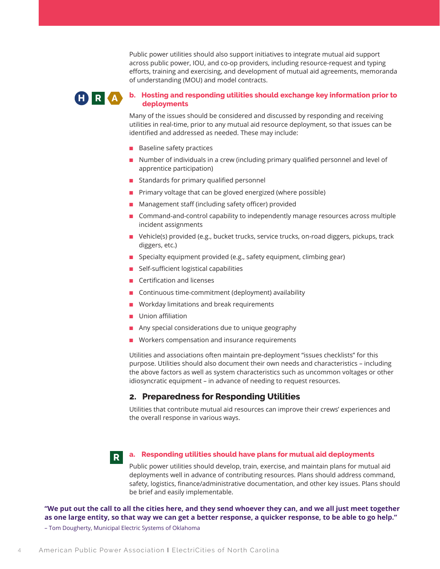Public power utilities should also support initiatives to integrate mutual aid support across public power, IOU, and co-op providers, including resource-request and typing efforts, training and exercising, and development of mutual aid agreements, memoranda of understanding (MOU) and model contracts.

# **H R A**

### **b. Hosting and responding utilities should exchange key information prior to deployments**

Many of the issues should be considered and discussed by responding and receiving utilities in real-time, prior to any mutual aid resource deployment, so that issues can be identified and addressed as needed. These may include:

- Baseline safety practices
- Number of individuals in a crew (including primary qualified personnel and level of apprentice participation)
- Standards for primary qualified personnel
- Primary voltage that can be gloved energized (where possible)
- Management staff (including safety officer) provided
- Command-and-control capability to independently manage resources across multiple incident assignments
- Vehicle(s) provided (e.g., bucket trucks, service trucks, on-road diggers, pickups, track diggers, etc.)
- Specialty equipment provided (e.g., safety equipment, climbing gear)
- Self-sufficient logistical capabilities
- Certification and licenses
- Continuous time-commitment (deployment) availability
- Workday limitations and break requirements
- Union affiliation
- Any special considerations due to unique geography
- Workers compensation and insurance requirements

Utilities and associations often maintain pre-deployment "issues checklists" for this purpose. Utilities should also document their own needs and characteristics – including the above factors as well as system characteristics such as uncommon voltages or other idiosyncratic equipment – in advance of needing to request resources.

# **2. Preparedness for Responding Utilities**

Utilities that contribute mutual aid resources can improve their crews' experiences and the overall response in various ways.

# **a. Responding utilities should have plans for mutual aid deployments**

Public power utilities should develop, train, exercise, and maintain plans for mutual aid deployments well in advance of contributing resources. Plans should address command, safety, logistics, finance/administrative documentation, and other key issues. Plans should be brief and easily implementable.

**"We put out the call to all the cities here, and they send whoever they can, and we all just meet together as one large entity, so that way we can get a better response, a quicker response, to be able to go help."**

– Tom Dougherty, Municipal Electric Systems of Oklahoma

**R**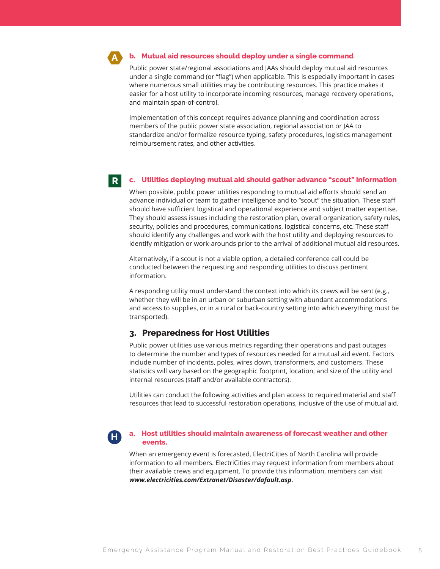**A**

#### **b. Mutual aid resources should deploy under a single command**

Public power state/regional associations and JAAs should deploy mutual aid resources under a single command (or "flag") when applicable. This is especially important in cases where numerous small utilities may be contributing resources. This practice makes it easier for a host utility to incorporate incoming resources, manage recovery operations, and maintain span-of-control.

Implementation of this concept requires advance planning and coordination across members of the public power state association, regional association or JAA to standardize and/or formalize resource typing, safety procedures, logistics management reimbursement rates, and other activities.

#### **c. Utilities deploying mutual aid should gather advance "scout" information R**

When possible, public power utilities responding to mutual aid efforts should send an advance individual or team to gather intelligence and to "scout" the situation. These staff should have sufficient logistical and operational experience and subject matter expertise. They should assess issues including the restoration plan, overall organization, safety rules, security, policies and procedures, communications, logistical concerns, etc. These staff should identify any challenges and work with the host utility and deploying resources to identify mitigation or work-arounds prior to the arrival of additional mutual aid resources.

Alternatively, if a scout is not a viable option, a detailed conference call could be conducted between the requesting and responding utilities to discuss pertinent information.

A responding utility must understand the context into which its crews will be sent (e.g., whether they will be in an urban or suburban setting with abundant accommodations and access to supplies, or in a rural or back-country setting into which everything must be transported).

# **3. Preparedness for Host Utilities**

Public power utilities use various metrics regarding their operations and past outages to determine the number and types of resources needed for a mutual aid event. Factors include number of incidents, poles, wires down, transformers, and customers. These statistics will vary based on the geographic footprint, location, and size of the utility and internal resources (staff and/or available contractors).

Utilities can conduct the following activities and plan access to required material and staff resources that lead to successful restoration operations, inclusive of the use of mutual aid.

**H**

#### **a. Host utilities should maintain awareness of forecast weather and other events.**

When an emergency event is forecasted, ElectriCities of North Carolina will provide information to all members. ElectriCities may request information from members about their available crews and equipment. To provide this information, members can visit *www.electricities.com/Extranet/Disaster/dafault.asp*.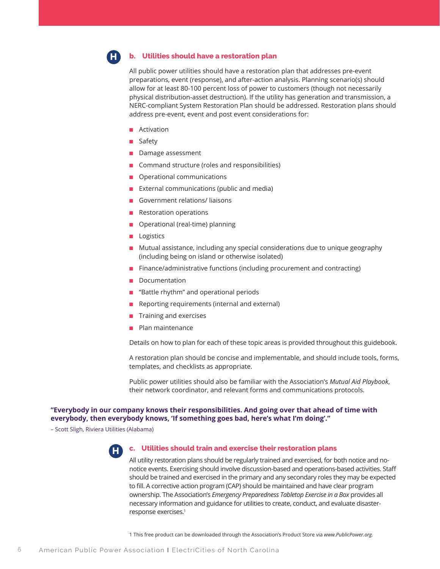

#### **b. Utilities should have a restoration plan**

All public power utilities should have a restoration plan that addresses pre-event preparations, event (response), and after-action analysis. Planning scenario(s) should allow for at least 80-100 percent loss of power to customers (though not necessarily physical distribution-asset destruction). If the utility has generation and transmission, a NERC-compliant System Restoration Plan should be addressed. Restoration plans should address pre-event, event and post event considerations for:

- Activation
- Safety
- Damage assessment
- Command structure (roles and responsibilities)
- Operational communications
- External communications (public and media)
- Government relations/ liaisons
- Restoration operations
- Operational (real-time) planning
- Logistics
- Mutual assistance, including any special considerations due to unique geography (including being on island or otherwise isolated)
- Finance/administrative functions (including procurement and contracting)
- Documentation
- "Battle rhythm" and operational periods
- Reporting requirements (internal and external)
- Training and exercises
- Plan maintenance

Details on how to plan for each of these topic areas is provided throughout this guidebook.

A restoration plan should be concise and implementable, and should include tools, forms, templates, and checklists as appropriate.

Public power utilities should also be familiar with the Association's *Mutual Aid Playbook*, their network coordinator, and relevant forms and communications protocols.

#### **"Everybody in our company knows their responsibilities. And going over that ahead of time with everybody, then everybody knows, 'If something goes bad, here's what I'm doing'."**

– Scott Sligh, Riviera Utilities (Alabama)



#### **c. Utilities should train and exercise their restoration plans**

All utility restoration plans should be regularly trained and exercised, for both notice and nonotice events. Exercising should involve discussion-based and operations-based activities. Staff should be trained and exercised in the primary and any secondary roles they may be expected to fill. A corrective action program (CAP) should be maintained and have clear program ownership. The Association's *Emergency Preparedness Tabletop Exercise in a Box* provides all necessary information and guidance for utilities to create, conduct, and evaluate disasterresponse exercises.1

1 This free product can be downloaded through the Association's Product Store via *www.PublicPower.org.*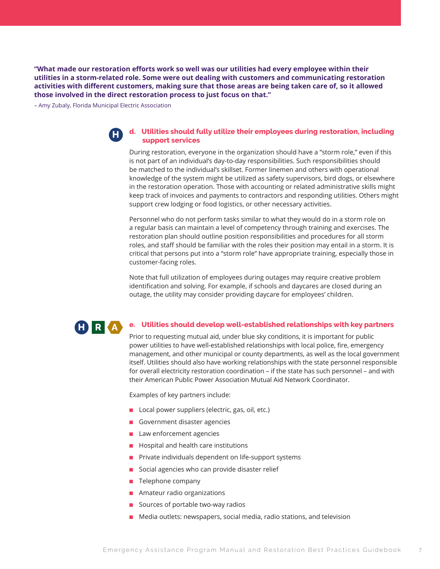**"What made our restoration efforts work so well was our utilities had every employee within their utilities in a storm-related role. Some were out dealing with customers and communicating restoration activities with different customers, making sure that those areas are being taken care of, so it allowed those involved in the direct restoration process to just focus on that."**

– Amy Zubaly, Florida Municipal Electric Association



#### **d. Utilities should fully utilize their employees during restoration, including support services**

During restoration, everyone in the organization should have a "storm role," even if this is not part of an individual's day-to-day responsibilities. Such responsibilities should be matched to the individual's skillset. Former linemen and others with operational knowledge of the system might be utilized as safety supervisors, bird dogs, or elsewhere in the restoration operation. Those with accounting or related administrative skills might keep track of invoices and payments to contractors and responding utilities. Others might support crew lodging or food logistics, or other necessary activities.

Personnel who do not perform tasks similar to what they would do in a storm role on a regular basis can maintain a level of competency through training and exercises. The restoration plan should outline position responsibilities and procedures for all storm roles, and staff should be familiar with the roles their position may entail in a storm. It is critical that persons put into a "storm role" have appropriate training, especially those in customer-facing roles.

Note that full utilization of employees during outages may require creative problem identification and solving. For example, if schools and daycares are closed during an outage, the utility may consider providing daycare for employees' children.

#### **e. Utilities should develop well-established relationships with key partners H R A**

Prior to requesting mutual aid, under blue sky conditions, it is important for public power utilities to have well-established relationships with local police, fire, emergency management, and other municipal or county departments, as well as the local government itself. Utilities should also have working relationships with the state personnel responsible for overall electricity restoration coordination – if the state has such personnel – and with their American Public Power Association Mutual Aid Network Coordinator.

Examples of key partners include:

- Local power suppliers (electric, gas, oil, etc.)
- Government disaster agencies
- Law enforcement agencies
- Hospital and health care institutions
- Private individuals dependent on life-support systems
- Social agencies who can provide disaster relief
- Telephone company
- Amateur radio organizations
- Sources of portable two-way radios
- Media outlets: newspapers, social media, radio stations, and television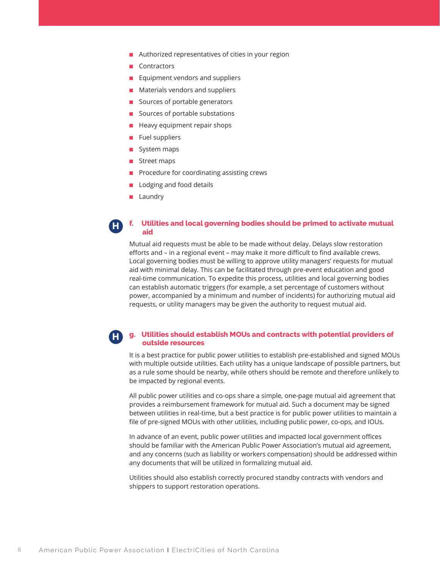- Authorized representatives of cities in your region
- Contractors
- Equipment vendors and suppliers
- Materials vendors and suppliers
- Sources of portable generators
- Sources of portable substations
- Heavy equipment repair shops
- Fuel suppliers
- System maps
- Street maps
- Procedure for coordinating assisting crews
- Lodging and food details
- Laundry

#### **f. Utilities and local governing bodies should be primed to activate mutual aid H**

Mutual aid requests must be able to be made without delay. Delays slow restoration efforts and – in a regional event – may make it more difficult to find available crews. Local governing bodies must be willing to approve utility managers' requests for mutual aid with minimal delay. This can be facilitated through pre-event education and good real-time communication. To expedite this process, utilities and local governing bodies can establish automatic triggers (for example, a set percentage of customers without power, accompanied by a minimum and number of incidents) for authorizing mutual aid requests, or utility managers may be given the authority to request mutual aid.

#### **g. Utilities should establish MOUs and contracts with potential providers of outside resources H**

It is a best practice for public power utilities to establish pre-established and signed MOUs with multiple outside utilities. Each utility has a unique landscape of possible partners, but as a rule some should be nearby, while others should be remote and therefore unlikely to be impacted by regional events.

All public power utilities and co-ops share a simple, one-page mutual aid agreement that provides a reimbursement framework for mutual aid. Such a document may be signed between utilities in real-time, but a best practice is for public power utilities to maintain a file of pre-signed MOUs with other utilities, including public power, co-ops, and IOUs.

In advance of an event, public power utilities and impacted local government offices should be familiar with the American Public Power Association's mutual aid agreement, and any concerns (such as liability or workers compensation) should be addressed within any documents that will be utilized in formalizing mutual aid.

Utilities should also establish correctly procured standby contracts with vendors and shippers to support restoration operations.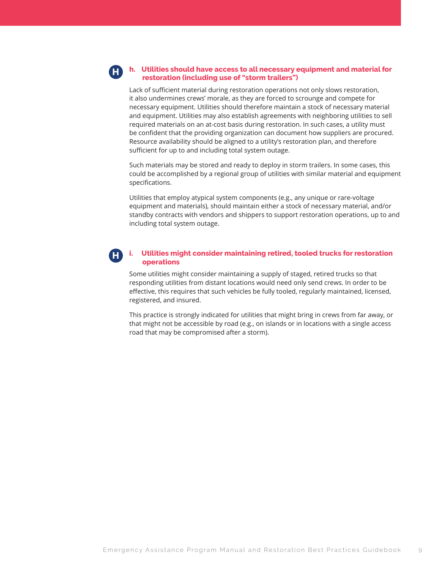### **h. Utilities should have access to all necessary equipment and material for restoration (including use of "storm trailers")**

**H**

Lack of sufficient material during restoration operations not only slows restoration, it also undermines crews' morale, as they are forced to scrounge and compete for necessary equipment. Utilities should therefore maintain a stock of necessary material and equipment. Utilities may also establish agreements with neighboring utilities to sell required materials on an at-cost basis during restoration. In such cases, a utility must be confident that the providing organization can document how suppliers are procured. Resource availability should be aligned to a utility's restoration plan, and therefore sufficient for up to and including total system outage.

Such materials may be stored and ready to deploy in storm trailers. In some cases, this could be accomplished by a regional group of utilities with similar material and equipment specifications.

Utilities that employ atypical system components (e.g., any unique or rare-voltage equipment and materials), should maintain either a stock of necessary material, and/or standby contracts with vendors and shippers to support restoration operations, up to and including total system outage.

#### **i. Utilities might consider maintaining retired, tooled trucks for restoration operations H**

Some utilities might consider maintaining a supply of staged, retired trucks so that responding utilities from distant locations would need only send crews. In order to be effective, this requires that such vehicles be fully tooled, regularly maintained, licensed, registered, and insured.

This practice is strongly indicated for utilities that might bring in crews from far away, or that might not be accessible by road (e.g., on islands or in locations with a single access road that may be compromised after a storm).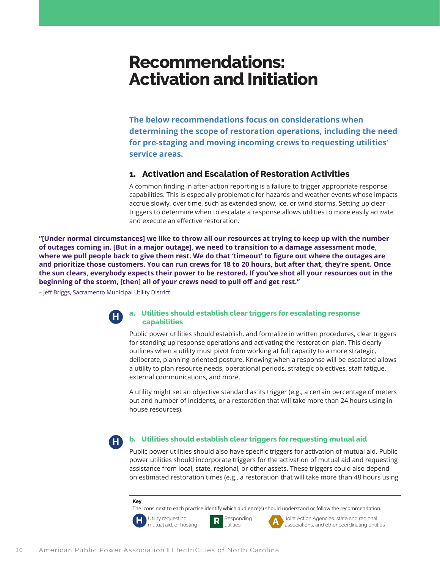# **Recommendations: Activation and Initiation**

**The below recommendations focus on considerations when determining the scope of restoration operations, including the need for pre-staging and moving incoming crews to requesting utilities' service areas.** 

# **1. Activation and Escalation of Restoration Activities**

A common finding in after-action reporting is a failure to trigger appropriate response capabilities. This is especially problematic for hazards and weather events whose impacts accrue slowly, over time, such as extended snow, ice, or wind storms. Setting up clear triggers to determine when to escalate a response allows utilities to more easily activate and execute an effective restoration.

**"[Under normal circumstances] we like to throw all our resources at trying to keep up with the number of outages coming in. [But in a major outage], we need to transition to a damage assessment mode, where we pull people back to give them rest. We do that 'timeout' to figure out where the outages are and prioritize those customers. You can run crews for 18 to 20 hours, but after that, they're spent. Once the sun clears, everybody expects their power to be restored. If you've shot all your resources out in the beginning of the storm, [then] all of your crews need to pull off and get rest."**

– Jeff Briggs, Sacramento Municipal Utility District



### **a. Utilities should establish clear triggers for escalating response capabilities**

Public power utilities should establish, and formalize in written procedures, clear triggers for standing up response operations and activating the restoration plan. This clearly outlines when a utility must pivot from working at full capacity to a more strategic, deliberate, planning-oriented posture. Knowing when a response will be escalated allows a utility to plan resource needs, operational periods, strategic objectives, staff fatigue, external communications, and more.

A utility might set an objective standard as its trigger (e.g., a certain percentage of meters out and number of incidents, or a restoration that will take more than 24 hours using inhouse resources).

**H**

#### **b. Utilities should establish clear triggers for requesting mutual aid**

Public power utilities should also have specific triggers for activation of mutual aid. Public power utilities should incorporate triggers for the activation of mutual aid and requesting assistance from local, state, regional, or other assets. These triggers could also depend on estimated restoration times (e.g., a restoration that will take more than 48 hours using

#### **Key**

The icons next to each practice identify which audience(s) should understand or follow the recommendation.



Utility requesting **R** Responding **A** Joint Action Agencies, state and regional mutual aid, or hosting **R** utilities **A** associations, and other coordinating entities associations, and other coordinating entities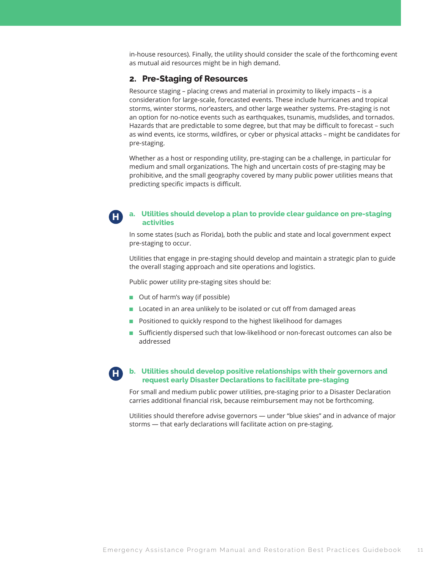in-house resources). Finally, the utility should consider the scale of the forthcoming event as mutual aid resources might be in high demand.

# **2. Pre-Staging of Resources**

Resource staging – placing crews and material in proximity to likely impacts – is a consideration for large-scale, forecasted events. These include hurricanes and tropical storms, winter storms, nor'easters, and other large weather systems. Pre-staging is not an option for no-notice events such as earthquakes, tsunamis, mudslides, and tornados. Hazards that are predictable to some degree, but that may be difficult to forecast – such as wind events, ice storms, wildfires, or cyber or physical attacks – might be candidates for pre-staging.

Whether as a host or responding utility, pre-staging can be a challenge, in particular for medium and small organizations. The high and uncertain costs of pre-staging may be prohibitive, and the small geography covered by many public power utilities means that predicting specific impacts is difficult.

#### **a. Utilities should develop a plan to provide clear guidance on pre-staging activities H**

In some states (such as Florida), both the public and state and local government expect pre-staging to occur.

Utilities that engage in pre-staging should develop and maintain a strategic plan to guide the overall staging approach and site operations and logistics.

Public power utility pre-staging sites should be:

- Out of harm's way (if possible)
- Located in an area unlikely to be isolated or cut off from damaged areas
- Positioned to quickly respond to the highest likelihood for damages
- Sufficiently dispersed such that low-likelihood or non-forecast outcomes can also be addressed

#### **b. Utilities should develop positive relationships with their governors and request early Disaster Declarations to facilitate pre-staging H**

For small and medium public power utilities, pre-staging prior to a Disaster Declaration carries additional financial risk, because reimbursement may not be forthcoming.

Utilities should therefore advise governors — under "blue skies" and in advance of major storms — that early declarations will facilitate action on pre-staging.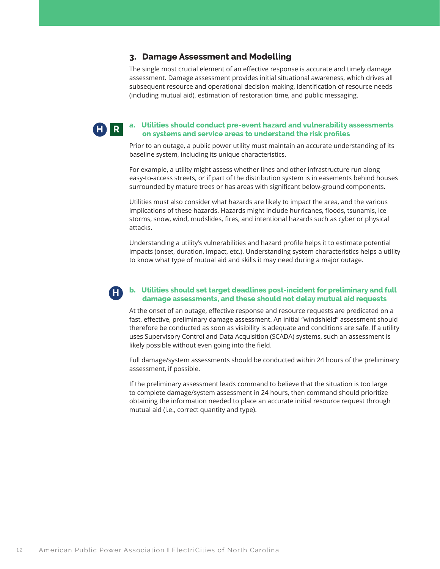# **3. Damage Assessment and Modelling**

The single most crucial element of an effective response is accurate and timely damage assessment. Damage assessment provides initial situational awareness, which drives all subsequent resource and operational decision-making, identification of resource needs (including mutual aid), estimation of restoration time, and public messaging.

**H R**

#### **a. Utilities should conduct pre-event hazard and vulnerability assessments on systems and service areas to understand the risk profiles**

Prior to an outage, a public power utility must maintain an accurate understanding of its baseline system, including its unique characteristics.

For example, a utility might assess whether lines and other infrastructure run along easy-to-access streets, or if part of the distribution system is in easements behind houses surrounded by mature trees or has areas with significant below-ground components.

Utilities must also consider what hazards are likely to impact the area, and the various implications of these hazards. Hazards might include hurricanes, floods, tsunamis, ice storms, snow, wind, mudslides, fires, and intentional hazards such as cyber or physical attacks.

Understanding a utility's vulnerabilities and hazard profile helps it to estimate potential impacts (onset, duration, impact, etc.). Understanding system characteristics helps a utility to know what type of mutual aid and skills it may need during a major outage.

#### **b. Utilities should set target deadlines post-incident for preliminary and full damage assessments, and these should not delay mutual aid requests H**

At the onset of an outage, effective response and resource requests are predicated on a fast, effective, preliminary damage assessment. An initial "windshield" assessment should therefore be conducted as soon as visibility is adequate and conditions are safe. If a utility uses Supervisory Control and Data Acquisition (SCADA) systems, such an assessment is likely possible without even going into the field.

Full damage/system assessments should be conducted within 24 hours of the preliminary assessment, if possible.

If the preliminary assessment leads command to believe that the situation is too large to complete damage/system assessment in 24 hours, then command should prioritize obtaining the information needed to place an accurate initial resource request through mutual aid (i.e., correct quantity and type).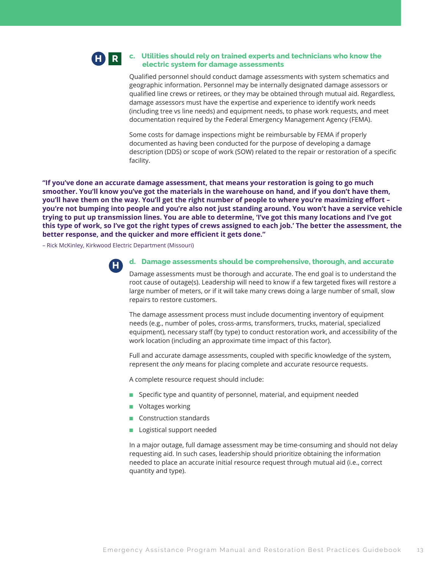#### **c. Utilities should rely on trained experts and technicians who know the electric system for damage assessments H R**

Qualified personnel should conduct damage assessments with system schematics and geographic information. Personnel may be internally designated damage assessors or qualified line crews or retirees, or they may be obtained through mutual aid. Regardless, damage assessors must have the expertise and experience to identify work needs (including tree vs line needs) and equipment needs, to phase work requests, and meet documentation required by the Federal Emergency Management Agency (FEMA).

Some costs for damage inspections might be reimbursable by FEMA if properly documented as having been conducted for the purpose of developing a damage description (DDS) or scope of work (SOW) related to the repair or restoration of a specific facility.

**"If you've done an accurate damage assessment, that means your restoration is going to go much smoother. You'll know you've got the materials in the warehouse on hand, and if you don't have them, you'll have them on the way. You'll get the right number of people to where you're maximizing effort – you're not bumping into people and you're also not just standing around. You won't have a service vehicle trying to put up transmission lines. You are able to determine, 'I've got this many locations and I've got this type of work, so I've got the right types of crews assigned to each job.' The better the assessment, the better response, and the quicker and more efficient it gets done."**

– Rick McKinley, Kirkwood Electric Department (Missouri)



#### **d. Damage assessments should be comprehensive, thorough, and accurate**

Damage assessments must be thorough and accurate. The end goal is to understand the root cause of outage(s). Leadership will need to know if a few targeted fixes will restore a large number of meters, or if it will take many crews doing a large number of small, slow repairs to restore customers.

The damage assessment process must include documenting inventory of equipment needs (e.g., number of poles, cross-arms, transformers, trucks, material, specialized equipment), necessary staff (by type) to conduct restoration work, and accessibility of the work location (including an approximate time impact of this factor).

Full and accurate damage assessments, coupled with specific knowledge of the system, represent the *only* means for placing complete and accurate resource requests.

A complete resource request should include:

- Specific type and quantity of personnel, material, and equipment needed
- Voltages working
- Construction standards
- Logistical support needed

In a major outage, full damage assessment may be time-consuming and should not delay requesting aid. In such cases, leadership should prioritize obtaining the information needed to place an accurate initial resource request through mutual aid (i.e., correct quantity and type).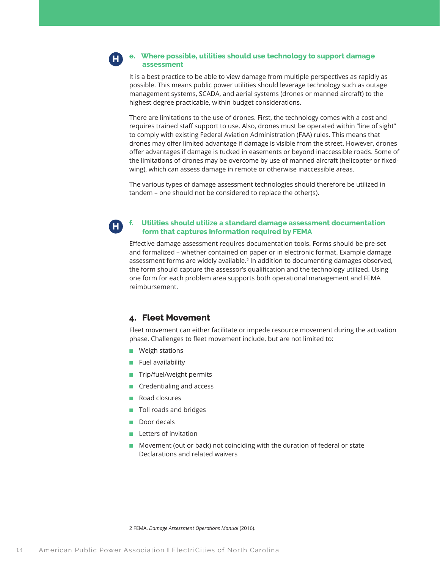#### **e. Where possible, utilities should use technology to support damage assessment H**

It is a best practice to be able to view damage from multiple perspectives as rapidly as possible. This means public power utilities should leverage technology such as outage management systems, SCADA, and aerial systems (drones or manned aircraft) to the highest degree practicable, within budget considerations.

There are limitations to the use of drones. First, the technology comes with a cost and requires trained staff support to use. Also, drones must be operated within "line of sight" to comply with existing Federal Aviation Administration (FAA) rules. This means that drones may offer limited advantage if damage is visible from the street. However, drones offer advantages if damage is tucked in easements or beyond inaccessible roads. Some of the limitations of drones may be overcome by use of manned aircraft (helicopter or fixedwing), which can assess damage in remote or otherwise inaccessible areas.

The various types of damage assessment technologies should therefore be utilized in tandem – one should not be considered to replace the other(s).

#### **f. Utilities should utilize a standard damage assessment documentation form that captures information required by FEMA**

Effective damage assessment requires documentation tools. Forms should be pre-set and formalized – whether contained on paper or in electronic format. Example damage assessment forms are widely available.2 In addition to documenting damages observed, the form should capture the assessor's qualification and the technology utilized. Using one form for each problem area supports both operational management and FEMA reimbursement.

# **4. Fleet Movement**

Fleet movement can either facilitate or impede resource movement during the activation phase. Challenges to fleet movement include, but are not limited to:

■ Weigh stations

**H**

- Fuel availability
- Trip/fuel/weight permits
- Credentialing and access
- Road closures
- Toll roads and bridges
- Door decals
- Letters of invitation
- Movement (out or back) not coinciding with the duration of federal or state Declarations and related waivers

2 FEMA, *Damage Assessment Operations Manual* (2016).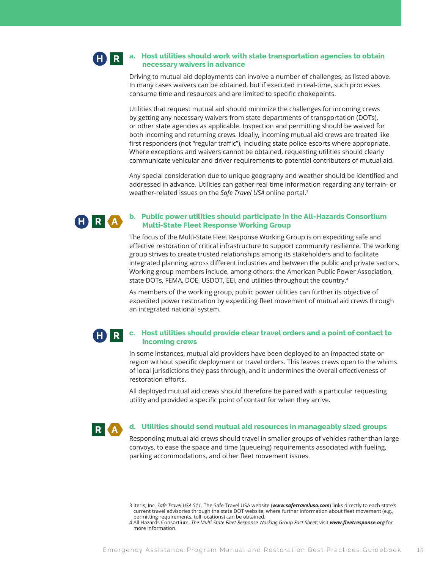#### **a. Host utilities should work with state transportation agencies to obtain necessary waivers in advance H R**

Driving to mutual aid deployments can involve a number of challenges, as listed above. In many cases waivers can be obtained, but if executed in real-time, such processes consume time and resources and are limited to specific chokepoints.

Utilities that request mutual aid should minimize the challenges for incoming crews by getting any necessary waivers from state departments of transportation (DOTs), or other state agencies as applicable. Inspection and permitting should be waived for both incoming and returning crews. Ideally, incoming mutual aid crews are treated like first responders (not "regular traffic"), including state police escorts where appropriate. Where exceptions and waivers cannot be obtained, requesting utilities should clearly communicate vehicular and driver requirements to potential contributors of mutual aid.

Any special consideration due to unique geography and weather should be identified and addressed in advance. Utilities can gather real-time information regarding any terrain- or weather-related issues on the *Safe Travel USA* online portal.3



#### **b. Public power utilities should participate in the All-Hazards Consortium Multi-State Fleet Response Working Group**

The focus of the Multi-State Fleet Response Working Group is on expediting safe and effective restoration of critical infrastructure to support community resilience. The working group strives to create trusted relationships among its stakeholders and to facilitate integrated planning across different industries and between the public and private sectors. Working group members include, among others: the American Public Power Association, state DOTs, FEMA, DOE, USDOT, EEI, and utilities throughout the country.4

As members of the working group, public power utilities can further its objective of expedited power restoration by expediting fleet movement of mutual aid crews through an integrated national system.

#### **c. Host utilities should provide clear travel orders and a point of contact to incoming crews H R**

In some instances, mutual aid providers have been deployed to an impacted state or region without specific deployment or travel orders. This leaves crews open to the whims of local jurisdictions they pass through, and it undermines the overall effectiveness of restoration efforts.

All deployed mutual aid crews should therefore be paired with a particular requesting utility and provided a specific point of contact for when they arrive.



#### **d. Utilities should send mutual aid resources in manageably sized groups**

Responding mutual aid crews should travel in smaller groups of vehicles rather than large convoys, to ease the space and time (queueing) requirements associated with fueling, parking accommodations, and other fleet movement issues.

<sup>3</sup> Iteris, Inc. *Safe Travel USA 511*. The Safe Travel USA website (*www.safetravelusa.com*) links directly to each state's current travel advisories through the state DOT website, where further information about fleet movement (e.g., permitting requirements, toll locations) can be obtained.

<sup>4</sup> All Hazards Consortium. *The Multi-State Fleet Response Working Group Fact Sheet*; visit *www.fleetresponse.org* for more information.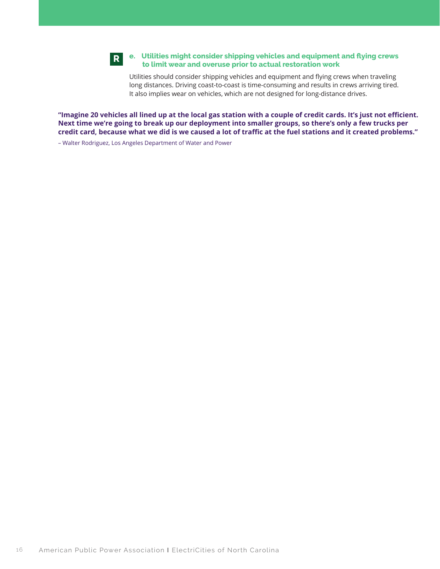

### **e. Utilities might consider shipping vehicles and equipment and flying crews to limit wear and overuse prior to actual restoration work**

Utilities should consider shipping vehicles and equipment and flying crews when traveling long distances. Driving coast-to-coast is time-consuming and results in crews arriving tired. It also implies wear on vehicles, which are not designed for long-distance drives.

**"Imagine 20 vehicles all lined up at the local gas station with a couple of credit cards. It's just not efficient. Next time we're going to break up our deployment into smaller groups, so there's only a few trucks per credit card, because what we did is we caused a lot of traffic at the fuel stations and it created problems."**

– Walter Rodriguez, Los Angeles Department of Water and Power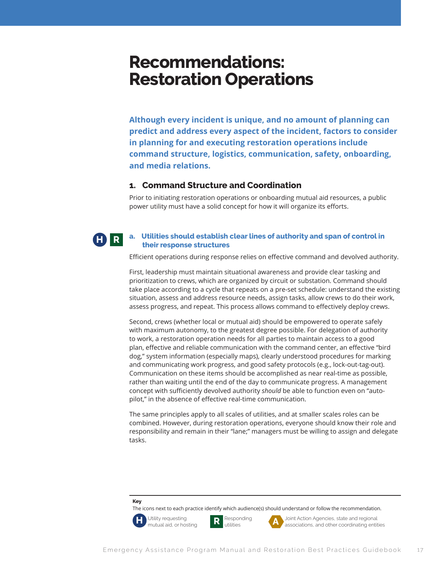# **Recommendations: Restoration Operations**

**Although every incident is unique, and no amount of planning can predict and address every aspect of the incident, factors to consider in planning for and executing restoration operations include command structure, logistics, communication, safety, onboarding, and media relations.** 

# **1. Command Structure and Coordination**

Prior to initiating restoration operations or onboarding mutual aid resources, a public power utility must have a solid concept for how it will organize its efforts.

#### **a. Utilities should establish clear lines of authority and span of control in their response structures H R**

Efficient operations during response relies on effective command and devolved authority.

First, leadership must maintain situational awareness and provide clear tasking and prioritization to crews, which are organized by circuit or substation. Command should take place according to a cycle that repeats on a pre-set schedule: understand the existing situation, assess and address resource needs, assign tasks, allow crews to do their work, assess progress, and repeat. This process allows command to effectively deploy crews.

Second, crews (whether local or mutual aid) should be empowered to operate safely with maximum autonomy, to the greatest degree possible. For delegation of authority to work, a restoration operation needs for all parties to maintain access to a good plan, effective and reliable communication with the command center, an effective "bird dog," system information (especially maps), clearly understood procedures for marking and communicating work progress, and good safety protocols (e.g., lock-out-tag-out). Communication on these items should be accomplished as near real-time as possible, rather than waiting until the end of the day to communicate progress. A management concept with sufficiently devolved authority *should* be able to function even on "autopilot," in the absence of effective real-time communication.

The same principles apply to all scales of utilities, and at smaller scales roles can be combined. However, during restoration operations, everyone should know their role and responsibility and remain in their "lane;" managers must be willing to assign and delegate tasks.

#### **Key**

The icons next to each practice identify which audience(s) should understand or follow the recommendation.



Utility requesting **R** Responding **A** Joint Action Agencies, state and regional mutual aid, or hosting **R** utilities **A** associations, and other coordinating entities associations, and other coordinating entities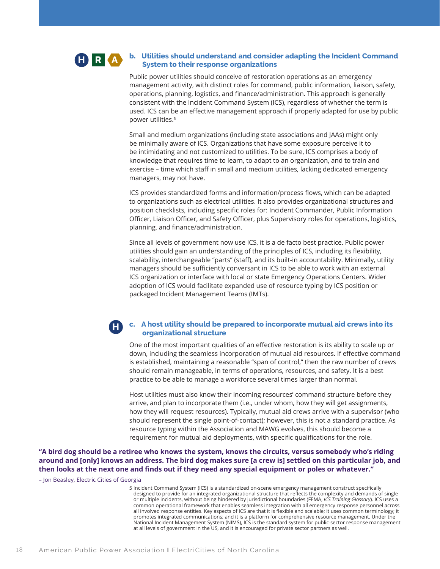#### **b. Utilities should understand and consider adapting the Incident Command System to their response organizations H R A**

Public power utilities should conceive of restoration operations as an emergency management activity, with distinct roles for command, public information, liaison, safety, operations, planning, logistics, and finance/administration. This approach is generally consistent with the Incident Command System (ICS), regardless of whether the term is used. ICS can be an effective management approach if properly adapted for use by public power utilities.5

Small and medium organizations (including state associations and JAAs) might only be minimally aware of ICS. Organizations that have some exposure perceive it to be intimidating and not customized to utilities. To be sure, ICS comprises a body of knowledge that requires time to learn, to adapt to an organization, and to train and exercise – time which staff in small and medium utilities, lacking dedicated emergency managers, may not have.

ICS provides standardized forms and information/process flows, which can be adapted to organizations such as electrical utilities. It also provides organizational structures and position checklists, including specific roles for: Incident Commander, Public Information Officer, Liaison Officer, and Safety Officer, plus Supervisory roles for operations, logistics, planning, and finance/administration.

Since all levels of government now use ICS, it is a de facto best practice. Public power utilities should gain an understanding of the principles of ICS, including its flexibility, scalability, interchangeable "parts" (staff), and its built-in accountability. Minimally, utility managers should be sufficiently conversant in ICS to be able to work with an external ICS organization or interface with local or state Emergency Operations Centers. Wider adoption of ICS would facilitate expanded use of resource typing by ICS position or packaged Incident Management Teams (IMTs).

### **c. A host utility should be prepared to incorporate mutual aid crews into its organizational structure**

One of the most important qualities of an effective restoration is its ability to scale up or down, including the seamless incorporation of mutual aid resources. If effective command is established, maintaining a reasonable "span of control," then the raw number of crews should remain manageable, in terms of operations, resources, and safety. It is a best practice to be able to manage a workforce several times larger than normal.

Host utilities must also know their incoming resources' command structure before they arrive, and plan to incorporate them (i.e., under whom, how they will get assignments, how they will request resources). Typically, mutual aid crews arrive with a supervisor (who should represent the single point-of-contact); however, this is not a standard practice. As resource typing within the Association and MAWG evolves, this should become a requirement for mutual aid deployments, with specific qualifications for the role.

**"A bird dog should be a retiree who knows the system, knows the circuits, versus somebody who's riding around and [only] knows an address. The bird dog makes sure [a crew is] settled on this particular job, and then looks at the next one and finds out if they need any special equipment or poles or whatever."**

– Jon Beasley, Electric Cities of Georgia

**H**

5 Incident Command System (ICS) is a standardized on-scene emergency management construct specifically designed to provide for an integrated organizational structure that reflects the complexity and demands of single or multiple incidents, without being hindered by jurisdictional boundaries (FEMA, *ICS Training Glossary*). ICS uses a common operational framework that enables seamless integration with all emergency response personnel across all involved response entities. Key aspects of ICS are that it is flexible and scalable; it uses common terminology; it promotes integrated communications; and it is a platform for comprehensive resource management. Under the National Incident Management System (NIMS), ICS is the standard system for public-sector response management at all levels of government in the US, and it is encouraged for private sector partners as well.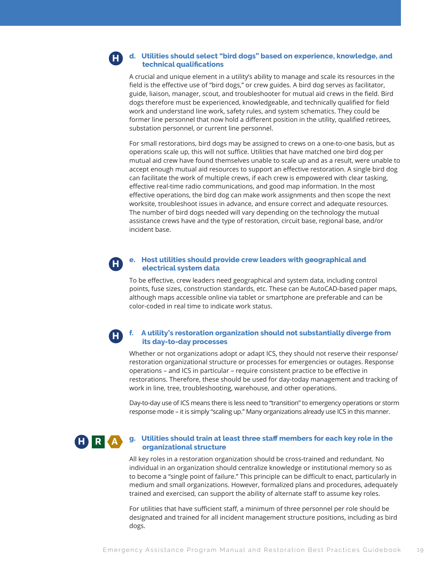#### **d. Utilities should select "bird dogs" based on experience, knowledge, and technical qualifications H**

A crucial and unique element in a utility's ability to manage and scale its resources in the field is the effective use of "bird dogs," or crew guides. A bird dog serves as facilitator, guide, liaison, manager, scout, and troubleshooter for mutual aid crews in the field. Bird dogs therefore must be experienced, knowledgeable, and technically qualified for field work and understand line work, safety rules, and system schematics. They could be former line personnel that now hold a different position in the utility, qualified retirees, substation personnel, or current line personnel.

For small restorations, bird dogs may be assigned to crews on a one-to-one basis, but as operations scale up, this will not suffice. Utilities that have matched one bird dog per mutual aid crew have found themselves unable to scale up and as a result, were unable to accept enough mutual aid resources to support an effective restoration. A single bird dog can facilitate the work of multiple crews, if each crew is empowered with clear tasking, effective real-time radio communications, and good map information. In the most effective operations, the bird dog can make work assignments and then scope the next worksite, troubleshoot issues in advance, and ensure correct and adequate resources. The number of bird dogs needed will vary depending on the technology the mutual assistance crews have and the type of restoration, circuit base, regional base, and/or incident base.

#### **e. Host utilities should provide crew leaders with geographical and electrical system data H**

To be effective, crew leaders need geographical and system data, including control points, fuse sizes, construction standards, etc. These can be AutoCAD-based paper maps, although maps accessible online via tablet or smartphone are preferable and can be color-coded in real time to indicate work status.

#### **f. A utility's restoration organization should not substantially diverge from its day-to-day processes H**

Whether or not organizations adopt or adapt ICS, they should not reserve their response/ restoration organizational structure or processes for emergencies or outages. Response operations – and ICS in particular – require consistent practice to be effective in restorations. Therefore, these should be used for day-today management and tracking of work in line, tree, troubleshooting, warehouse, and other operations.

Day-to-day use of ICS means there is less need to "transition" to emergency operations or storm response mode – it is simply "scaling up." Many organizations already use ICS in this manner.

# **H R A**

### **g. Utilities should train at least three staff members for each key role in the organizational structure**

All key roles in a restoration organization should be cross-trained and redundant. No individual in an organization should centralize knowledge or institutional memory so as to become a "single point of failure." This principle can be difficult to enact, particularly in medium and small organizations. However, formalized plans and procedures, adequately trained and exercised, can support the ability of alternate staff to assume key roles.

For utilities that have sufficient staff, a minimum of three personnel per role should be designated and trained for all incident management structure positions, including as bird dogs.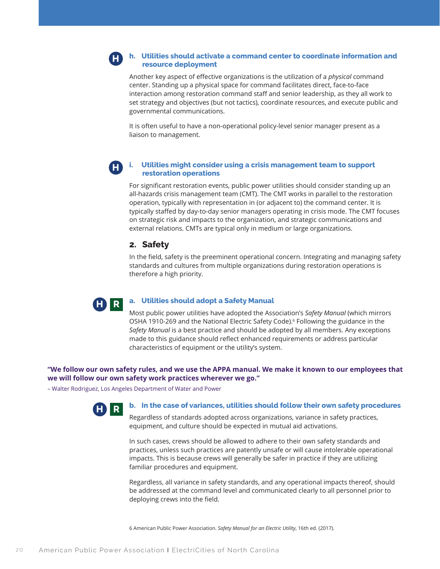#### **h. Utilities should activate a command center to coordinate information and resource deployment H**

Another key aspect of effective organizations is the utilization of a *physical* command center. Standing up a physical space for command facilitates direct, face-to-face interaction among restoration command staff and senior leadership, as they all work to set strategy and objectives (but not tactics), coordinate resources, and execute public and governmental communications.

It is often useful to have a non-operational policy-level senior manager present as a liaison to management.

#### **i. Utilities might consider using a crisis management team to support restoration operations H**

For significant restoration events, public power utilities should consider standing up an all-hazards crisis management team (CMT). The CMT works in parallel to the restoration operation, typically with representation in (or adjacent to) the command center. It is typically staffed by day-to-day senior managers operating in crisis mode. The CMT focuses on strategic risk and impacts to the organization, and strategic communications and external relations. CMTs are typical only in medium or large organizations.

### **2. Safety**

In the field, safety is the preeminent operational concern. Integrating and managing safety standards and cultures from multiple organizations during restoration operations is therefore a high priority.



#### **a. Utilities should adopt a Safety Manual**

Most public power utilities have adopted the Association's *Safety Manual* (which mirrors OSHA 1910-269 and the National Electric Safety Code).<sup>6</sup> Following the guidance in the *Safety Manual* is a best practice and should be adopted by all members. Any exceptions made to this guidance should reflect enhanced requirements or address particular characteristics of equipment or the utility's system.

#### **"We follow our own safety rules, and we use the APPA manual. We make it known to our employees that we will follow our own safety work practices wherever we go."**

– Walter Rodriguez, Los Angeles Department of Water and Power



#### **b. In the case of variances, utilities should follow their own safety procedures**

Regardless of standards adopted across organizations, variance in safety practices, equipment, and culture should be expected in mutual aid activations.

In such cases, crews should be allowed to adhere to their own safety standards and practices, unless such practices are patently unsafe or will cause intolerable operational impacts. This is because crews will generally be safer in practice if they are utilizing familiar procedures and equipment.

Regardless, all variance in safety standards, and any operational impacts thereof, should be addressed at the command level and communicated clearly to all personnel prior to deploying crews into the field.

6 American Public Power Association. *Safety Manual for an Electric Utility*, 16th ed. (2017).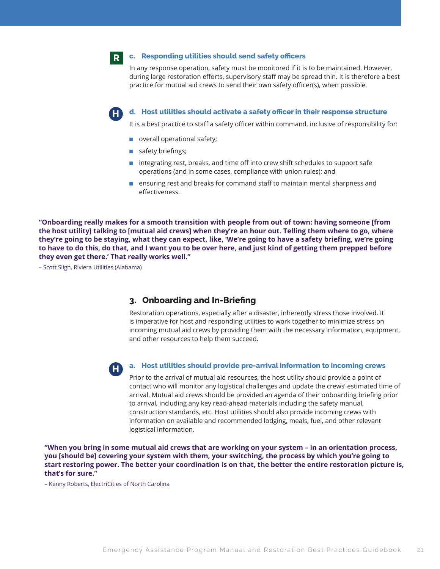**R**

**H**

#### **c. Responding utilities should send safety officers**

In any response operation, safety must be monitored if it is to be maintained. However, during large restoration efforts, supervisory staff may be spread thin. It is therefore a best practice for mutual aid crews to send their own safety officer(s), when possible.

**d. Host utilities should activate a safety officer in their response structure**

It is a best practice to staff a safety officer within command, inclusive of responsibility for:

- overall operational safety;
- safety briefings;
- integrating rest, breaks, and time off into crew shift schedules to support safe operations (and in some cases, compliance with union rules); and
- ensuring rest and breaks for command staff to maintain mental sharpness and effectiveness.

**"Onboarding really makes for a smooth transition with people from out of town: having someone [from the host utility] talking to [mutual aid crews] when they're an hour out. Telling them where to go, where they're going to be staying, what they can expect, like, 'We're going to have a safety briefing, we're going to have to do this, do that, and I want you to be over here, and just kind of getting them prepped before they even get there.' That really works well."**

– Scott Sligh, Riviera Utilities (Alabama)

### **3. Onboarding and In-Briefing**

Restoration operations, especially after a disaster, inherently stress those involved. It is imperative for host and responding utilities to work together to minimize stress on incoming mutual aid crews by providing them with the necessary information, equipment, and other resources to help them succeed.



#### **a. Host utilities should provide pre-arrival information to incoming crews**

Prior to the arrival of mutual aid resources, the host utility should provide a point of contact who will monitor any logistical challenges and update the crews' estimated time of arrival. Mutual aid crews should be provided an agenda of their onboarding briefing prior to arrival, including any key read-ahead materials including the safety manual, construction standards, etc. Host utilities should also provide incoming crews with information on available and recommended lodging, meals, fuel, and other relevant logistical information.

**"When you bring in some mutual aid crews that are working on your system – in an orientation process, you [should be] covering your system with them, your switching, the process by which you're going to start restoring power. The better your coordination is on that, the better the entire restoration picture is, that's for sure."**

– Kenny Roberts, ElectriCities of North Carolina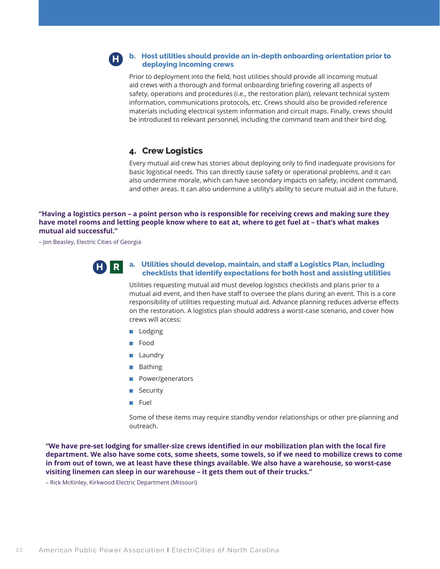#### **b. Host utilities should provide an in-depth onboarding orientation prior to deploying incoming crews H**

Prior to deployment into the field, host utilities should provide all incoming mutual aid crews with a thorough and formal onboarding briefing covering all aspects of safety, operations and procedures (i.e., the restoration plan), relevant technical system information, communications protocols, etc. Crews should also be provided reference materials including electrical system information and circuit maps. Finally, crews should be introduced to relevant personnel, including the command team and their bird dog.

# **4. Crew Logistics**

Every mutual aid crew has stories about deploying only to find inadequate provisions for basic logistical needs. This can directly cause safety or operational problems, and it can also undermine morale, which can have secondary impacts on safety, incident command, and other areas. It can also undermine a utility's ability to secure mutual aid in the future.

**"Having a logistics person – a point person who is responsible for receiving crews and making sure they have motel rooms and letting people know where to eat at, where to get fuel at – that's what makes mutual aid successful."**

– Jon Beasley, Electric Cities of Georgia



### **a. Utilities should develop, maintain, and staff a Logistics Plan, including checklists that identify expectations for both host and assisting utilities**

Utilities requesting mutual aid must develop logistics checklists and plans prior to a mutual aid event, and then have staff to oversee the plans during an event. This is a core responsibility of utilities requesting mutual aid. Advance planning reduces adverse effects on the restoration. A logistics plan should address a worst-case scenario, and cover how crews will access:

- Lodging
- Food
- Laundry
- Bathing
- Power/generators
- Security
- Fuel

Some of these items may require standby vendor relationships or other pre-planning and outreach.

**"We have pre-set lodging for smaller-size crews identified in our mobilization plan with the local fire department. We also have some cots, some sheets, some towels, so if we need to mobilize crews to come in from out of town, we at least have these things available. We also have a warehouse, so worst-case visiting linemen can sleep in our warehouse – it gets them out of their trucks."**

– Rick McKinley, Kirkwood Electric Department (Missouri)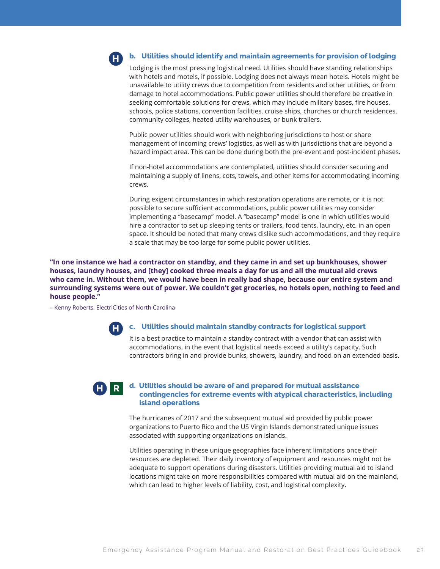

#### **b. Utilities should identify and maintain agreements for provision of lodging**

Lodging is the most pressing logistical need. Utilities should have standing relationships with hotels and motels, if possible. Lodging does not always mean hotels. Hotels might be unavailable to utility crews due to competition from residents and other utilities, or from damage to hotel accommodations. Public power utilities should therefore be creative in seeking comfortable solutions for crews, which may include military bases, fire houses, schools, police stations, convention facilities, cruise ships, churches or church residences, community colleges, heated utility warehouses, or bunk trailers.

Public power utilities should work with neighboring jurisdictions to host or share management of incoming crews' logistics, as well as with jurisdictions that are beyond a hazard impact area. This can be done during both the pre-event and post-incident phases.

If non-hotel accommodations are contemplated, utilities should consider securing and maintaining a supply of linens, cots, towels, and other items for accommodating incoming crews.

During exigent circumstances in which restoration operations are remote, or it is not possible to secure sufficient accommodations, public power utilities may consider implementing a "basecamp" model. A "basecamp" model is one in which utilities would hire a contractor to set up sleeping tents or trailers, food tents, laundry, etc. in an open space. It should be noted that many crews dislike such accommodations, and they require a scale that may be too large for some public power utilities.

**"In one instance we had a contractor on standby, and they came in and set up bunkhouses, shower houses, laundry houses, and [they] cooked three meals a day for us and all the mutual aid crews who came in. Without them, we would have been in really bad shape, because our entire system and surrounding systems were out of power. We couldn't get groceries, no hotels open, nothing to feed and house people."**

– Kenny Roberts, ElectriCities of North Carolina

**H**

#### **c. Utilities should maintain standby contracts for logistical support**

It is a best practice to maintain a standby contract with a vendor that can assist with accommodations, in the event that logistical needs exceed a utility's capacity. Such contractors bring in and provide bunks, showers, laundry, and food on an extended basis.



#### **d. Utilities should be aware of and prepared for mutual assistance contingencies for extreme events with atypical characteristics, including island operations**

The hurricanes of 2017 and the subsequent mutual aid provided by public power organizations to Puerto Rico and the US Virgin Islands demonstrated unique issues associated with supporting organizations on islands.

Utilities operating in these unique geographies face inherent limitations once their resources are depleted. Their daily inventory of equipment and resources might not be adequate to support operations during disasters. Utilities providing mutual aid to island locations might take on more responsibilities compared with mutual aid on the mainland, which can lead to higher levels of liability, cost, and logistical complexity.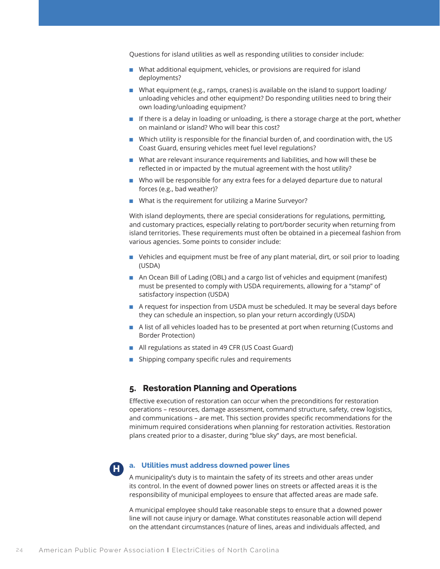Questions for island utilities as well as responding utilities to consider include:

- What additional equipment, vehicles, or provisions are required for island deployments?
- What equipment (e.g., ramps, cranes) is available on the island to support loading/ unloading vehicles and other equipment? Do responding utilities need to bring their own loading/unloading equipment?
- If there is a delay in loading or unloading, is there a storage charge at the port, whether on mainland or island? Who will bear this cost?
- Which utility is responsible for the financial burden of, and coordination with, the US Coast Guard, ensuring vehicles meet fuel level regulations?
- What are relevant insurance requirements and liabilities, and how will these be reflected in or impacted by the mutual agreement with the host utility?
- Who will be responsible for any extra fees for a delayed departure due to natural forces (e.g., bad weather)?
- What is the requirement for utilizing a Marine Surveyor?

With island deployments, there are special considerations for regulations, permitting, and customary practices, especially relating to port/border security when returning from island territories. These requirements must often be obtained in a piecemeal fashion from various agencies. Some points to consider include:

- Vehicles and equipment must be free of any plant material, dirt, or soil prior to loading (USDA)
- An Ocean Bill of Lading (OBL) and a cargo list of vehicles and equipment (manifest) must be presented to comply with USDA requirements, allowing for a "stamp" of satisfactory inspection (USDA)
- A request for inspection from USDA must be scheduled. It may be several days before they can schedule an inspection, so plan your return accordingly (USDA)
- A list of all vehicles loaded has to be presented at port when returning (Customs and Border Protection)
- All regulations as stated in 49 CFR (US Coast Guard)
- Shipping company specific rules and requirements

### **5. Restoration Planning and Operations**

Effective execution of restoration can occur when the preconditions for restoration operations – resources, damage assessment, command structure, safety, crew logistics, and communications – are met. This section provides specific recommendations for the minimum required considerations when planning for restoration activities. Restoration plans created prior to a disaster, during "blue sky" days, are most beneficial.



#### **a. Utilities must address downed power lines**

A municipality's duty is to maintain the safety of its streets and other areas under its control. In the event of downed power lines on streets or affected areas it is the responsibility of municipal employees to ensure that affected areas are made safe.

A municipal employee should take reasonable steps to ensure that a downed power line will not cause injury or damage. What constitutes reasonable action will depend on the attendant circumstances (nature of lines, areas and individuals affected, and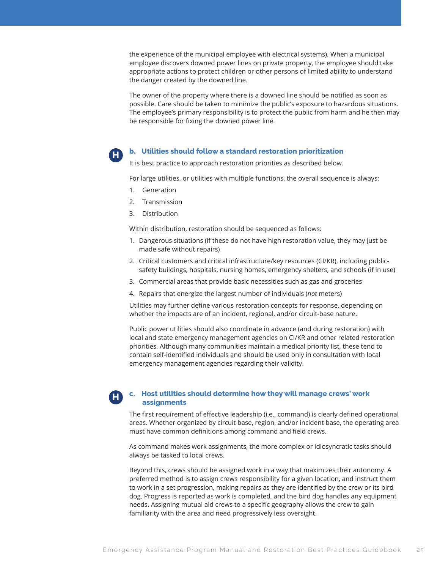the experience of the municipal employee with electrical systems). When a municipal employee discovers downed power lines on private property, the employee should take appropriate actions to protect children or other persons of limited ability to understand the danger created by the downed line.

The owner of the property where there is a downed line should be notified as soon as possible. Care should be taken to minimize the public's exposure to hazardous situations. The employee's primary responsibility is to protect the public from harm and he then may be responsible for fixing the downed power line.

#### **b. Utilities should follow a standard restoration prioritization**

It is best practice to approach restoration priorities as described below.

For large utilities, or utilities with multiple functions, the overall sequence is always:

1. Generation

**H**

- 2. Transmission
- 3. Distribution

Within distribution, restoration should be sequenced as follows:

- 1. Dangerous situations (if these do not have high restoration value, they may just be made safe without repairs)
- 2. Critical customers and critical infrastructure/key resources (CI/KR), including publicsafety buildings, hospitals, nursing homes, emergency shelters, and schools (if in use)
- 3. Commercial areas that provide basic necessities such as gas and groceries
- 4. Repairs that energize the largest number of individuals (*not* meters)

Utilities may further define various restoration concepts for response, depending on whether the impacts are of an incident, regional, and/or circuit-base nature.

Public power utilities should also coordinate in advance (and during restoration) with local and state emergency management agencies on CI/KR and other related restoration priorities. Although many communities maintain a medical priority list, these tend to contain self-identified individuals and should be used only in consultation with local emergency management agencies regarding their validity.

#### **c. Host utilities should determine how they will manage crews' work assignments H**

The first requirement of effective leadership (i.e., command) is clearly defined operational areas. Whether organized by circuit base, region, and/or incident base, the operating area must have common definitions among command and field crews.

As command makes work assignments, the more complex or idiosyncratic tasks should always be tasked to local crews.

Beyond this, crews should be assigned work in a way that maximizes their autonomy. A preferred method is to assign crews responsibility for a given location, and instruct them to work in a set progression, making repairs as they are identified by the crew or its bird dog. Progress is reported as work is completed, and the bird dog handles any equipment needs. Assigning mutual aid crews to a specific geography allows the crew to gain familiarity with the area and need progressively less oversight.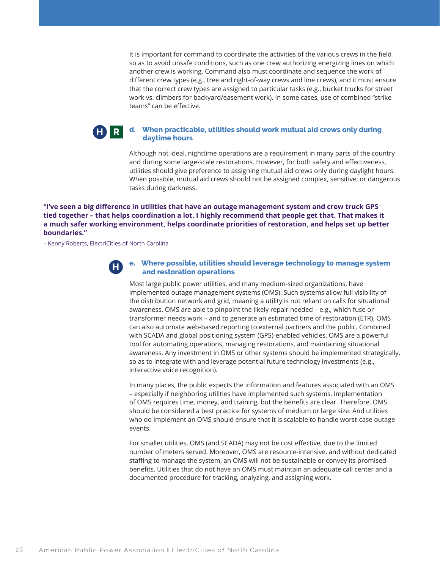It is important for command to coordinate the activities of the various crews in the field so as to avoid unsafe conditions, such as one crew authorizing energizing lines on which another crew is working. Command also must coordinate and sequence the work of different crew types (e.g., tree and right-of-way crews and line crews), and it must ensure that the correct crew types are assigned to particular tasks (e.g., bucket trucks for street work vs. climbers for backyard/easement work). In some cases, use of combined "strike teams" can be effective.

#### **d. When practicable, utilities should work mutual aid crews only during daytime hours H R**

Although not ideal, nighttime operations are a requirement in many parts of the country and during some large-scale restorations. However, for both safety and effectiveness, utilities should give preference to assigning mutual aid crews only during daylight hours. When possible, mutual aid crews should not be assigned complex, sensitive, or dangerous tasks during darkness.

### **"I've seen a big difference in utilities that have an outage management system and crew truck GPS tied together – that helps coordination a lot. I highly recommend that people get that. That makes it a much safer working environment, helps coordinate priorities of restoration, and helps set up better boundaries."**

– Kenny Roberts, ElectriCities of North Carolina



#### **e. Where possible, utilities should leverage technology to manage system and restoration operations**

Most large public power utilities, and many medium-sized organizations, have implemented outage management systems (OMS). Such systems allow full visibility of the distribution network and grid, meaning a utility is not reliant on calls for situational awareness. OMS are able to pinpoint the likely repair needed – e.g., which fuse or transformer needs work – and to generate an estimated time of restoration (ETR). OMS can also automate web-based reporting to external partners and the public. Combined with SCADA and global positioning system (GPS)-enabled vehicles, OMS are a powerful tool for automating operations, managing restorations, and maintaining situational awareness. Any investment in OMS or other systems should be implemented strategically, so as to integrate with and leverage potential future technology investments (e.g., interactive voice recognition).

In many places, the public expects the information and features associated with an OMS – especially if neighboring utilities have implemented such systems. Implementation of OMS requires time, money, and training, but the benefits are clear. Therefore, OMS should be considered a best practice for systems of medium or large size. And utilities who do implement an OMS should ensure that it is scalable to handle worst-case outage events.

For smaller utilities, OMS (and SCADA) may not be cost effective, due to the limited number of meters served. Moreover, OMS are resource-intensive, and without dedicated staffing to manage the system, an OMS will not be sustainable or convey its promised benefits. Utilities that do not have an OMS must maintain an adequate call center and a documented procedure for tracking, analyzing, and assigning work.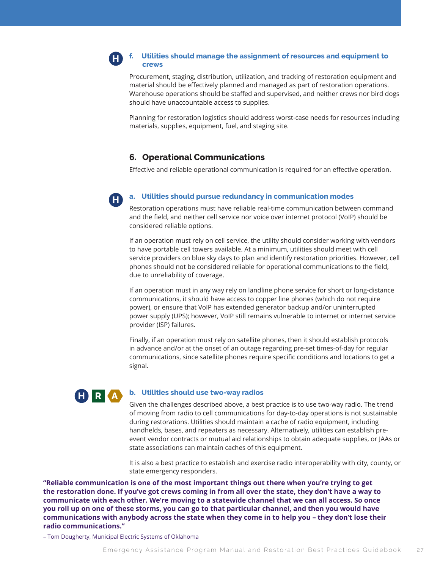#### **f. Utilities should manage the assignment of resources and equipment to crews H**

Procurement, staging, distribution, utilization, and tracking of restoration equipment and material should be effectively planned and managed as part of restoration operations. Warehouse operations should be staffed and supervised, and neither crews nor bird dogs should have unaccountable access to supplies.

Planning for restoration logistics should address worst-case needs for resources including materials, supplies, equipment, fuel, and staging site.

# **6. Operational Communications**

Effective and reliable operational communication is required for an effective operation.

#### **a. Utilities should pursue redundancy in communication modes**

Restoration operations must have reliable real-time communication between command and the field, and neither cell service nor voice over internet protocol (VoIP) should be considered reliable options.

If an operation must rely on cell service, the utility should consider working with vendors to have portable cell towers available. At a minimum, utilities should meet with cell service providers on blue sky days to plan and identify restoration priorities. However, cell phones should not be considered reliable for operational communications to the field, due to unreliability of coverage.

If an operation must in any way rely on landline phone service for short or long-distance communications, it should have access to copper line phones (which do not require power), or ensure that VoIP has extended generator backup and/or uninterrupted power supply (UPS); however, VoIP still remains vulnerable to internet or internet service provider (ISP) failures.

Finally, if an operation must rely on satellite phones, then it should establish protocols in advance and/or at the onset of an outage regarding pre-set times-of-day for regular communications, since satellite phones require specific conditions and locations to get a signal.



**H**

#### **b. Utilities should use two-way radios**

Given the challenges described above, a best practice is to use two-way radio. The trend of moving from radio to cell communications for day-to-day operations is not sustainable during restorations. Utilities should maintain a cache of radio equipment, including handhelds, bases, and repeaters as necessary. Alternatively, utilities can establish preevent vendor contracts or mutual aid relationships to obtain adequate supplies, or JAAs or state associations can maintain caches of this equipment.

It is also a best practice to establish and exercise radio interoperability with city, county, or state emergency responders.

**"Reliable communication is one of the most important things out there when you're trying to get the restoration done. If you've got crews coming in from all over the state, they don't have a way to communicate with each other. We're moving to a statewide channel that we can all access. So once you roll up on one of these storms, you can go to that particular channel, and then you would have communications with anybody across the state when they come in to help you – they don't lose their radio communications."**

– Tom Dougherty, Municipal Electric Systems of Oklahoma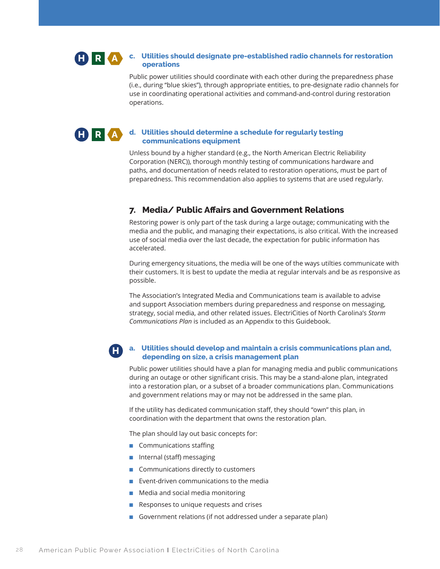#### **c. Utilities should designate pre-established radio channels for restoration operations H R A**

Public power utilities should coordinate with each other during the preparedness phase (i.e., during "blue skies"), through appropriate entities, to pre-designate radio channels for use in coordinating operational activities and command-and-control during restoration operations.

#### **d. Utilities should determine a schedule for regularly testing communications equipment H R A**

Unless bound by a higher standard (e.g., the North American Electric Reliability Corporation (NERC)), thorough monthly testing of communications hardware and paths, and documentation of needs related to restoration operations, must be part of preparedness. This recommendation also applies to systems that are used regularly.

# **7. Media/ Public Affairs and Government Relations**

Restoring power is only part of the task during a large outage; communicating with the media and the public, and managing their expectations, is also critical. With the increased use of social media over the last decade, the expectation for public information has accelerated.

During emergency situations, the media will be one of the ways utilties communicate with their customers. It is best to update the media at regular intervals and be as responsive as possible.

The Association's Integrated Media and Communications team is available to advise and support Association members during preparedness and response on messaging, strategy, social media, and other related issues. ElectriCities of North Carolina's *Storm Communications Plan* is included as an Appendix to this Guidebook.

#### **a. Utilities should develop and maintain a crisis communications plan and, depending on size, a crisis management plan H**

Public power utilities should have a plan for managing media and public communications during an outage or other significant crisis. This may be a stand-alone plan, integrated into a restoration plan, or a subset of a broader communications plan. Communications and government relations may or may not be addressed in the same plan.

If the utility has dedicated communication staff, they should "own" this plan, in coordination with the department that owns the restoration plan.

The plan should lay out basic concepts for:

- Communications staffing
- Internal (staff) messaging
- Communications directly to customers
- Event-driven communications to the media
- Media and social media monitoring
- Responses to unique requests and crises
- Government relations (if not addressed under a separate plan)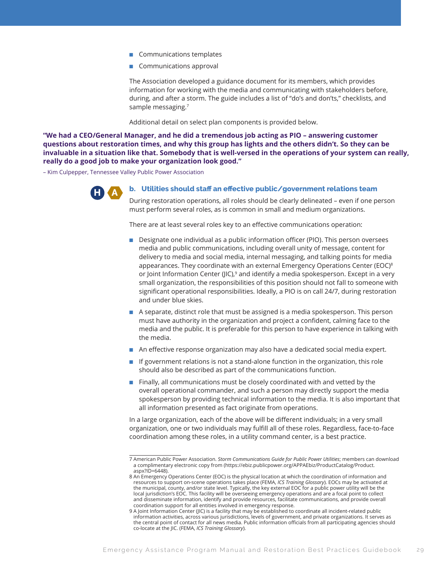- Communications templates
- Communications approval

The Association developed a guidance document for its members, which provides information for working with the media and communicating with stakeholders before, during, and after a storm. The guide includes a list of "do's and don'ts," checklists, and sample messaging.<sup>7</sup>

Additional detail on select plan components is provided below.

**"We had a CEO/General Manager, and he did a tremendous job acting as PIO – answering customer questions about restoration times, and why this group has lights and the others didn't. So they can be invaluable in a situation like that. Somebody that is well-versed in the operations of your system can really, really do a good job to make your organization look good."**

– Kim Culpepper, Tennessee Valley Public Power Association



**b. Utilities should staff an effective public/government relations team** 

During restoration operations, all roles should be clearly delineated – even if one person must perform several roles, as is common in small and medium organizations.

There are at least several roles key to an effective communications operation:

- Designate one individual as a public information officer (PIO). This person oversees media and public communications, including overall unity of message, content for delivery to media and social media, internal messaging, and talking points for media appearances. They coordinate with an external Emergency Operations Center (EOC) $8$ or Joint Information Center ( $|IC$ ),<sup>9</sup> and identify a media spokesperson. Except in a very small organization, the responsibilities of this position should not fall to someone with significant operational responsibilities. Ideally, a PIO is on call 24/7, during restoration and under blue skies.
- A separate, distinct role that must be assigned is a media spokesperson. This person must have authority in the organization and project a confident, calming face to the media and the public. It is preferable for this person to have experience in talking with the media.
- An effective response organization may also have a dedicated social media expert.
- If government relations is not a stand-alone function in the organization, this role should also be described as part of the communications function.
- Finally, all communications must be closely coordinated with and vetted by the overall operational commander, and such a person may directly support the media spokesperson by providing technical information to the media. It is also important that all information presented as fact originate from operations.

In a large organization, each of the above will be different individuals; in a very small organization, one or two individuals may fulfill all of these roles. Regardless, face-to-face coordination among these roles, in a utility command center, is a best practice.

<sup>7</sup> American Public Power Association. *Storm Communications Guide for Public Power Utilities*; members can download a complimentary electronic copy from (https://ebiz.publicpower.org/APPAEbiz/ProductCatalog/Product. aspx?ID=6448).

<sup>8</sup> An Emergency Operations Center (EOC) is the physical location at which the coordination of information and resources to support on-scene operations takes place (FEMA, *ICS Training Glossary*). EOCs may be activated at the municipal, county, and/or state level. Typically, the key external EOC for a public power utility will be the local jurisdiction's EOC. This facility will be overseeing emergency operations and are a focal point to collect and disseminate information, identify and provide resources, facilitate communications, and provide overall coordination support for all entities involved in emergency response.

<sup>9</sup> A Joint Information Center (JIC) is a facility that may be established to coordinate all incident-related public information activities, across various jurisdictions, levels of government, and private organizations. It serves as the central point of contact for all news media. Public information officials from all participating agencies should co-locate at the JIC. (FEMA, *ICS Training Glossary*).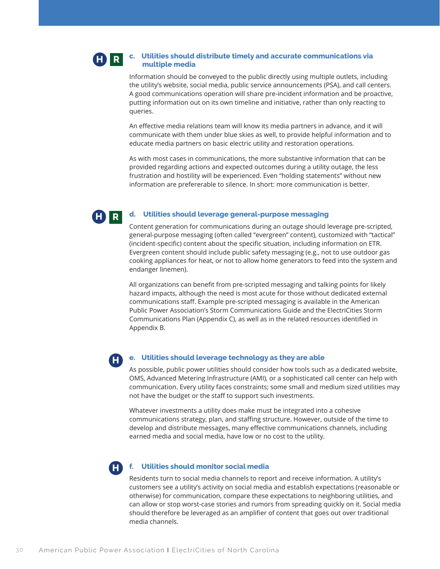#### **c. Utilities should distribute timely and accurate communications via multiple media H R**

Information should be conveyed to the public directly using multiple outlets, including the utility's website, social media, public service announcements (PSA), and call centers. A good communications operation will share pre-incident information and be proactive, putting information out on its own timeline and initiative, rather than only reacting to queries.

An effective media relations team will know its media partners in advance, and it will communicate with them under blue skies as well, to provide helpful information and to educate media partners on basic electric utility and restoration operations.

As with most cases in communications, the more substantive information that can be provided regarding actions and expected outcomes during a utility outage, the less frustration and hostility will be experienced. Even "holding statements" without new information are prefererable to silence. In short: more communication is better.



#### **d. Utilities should leverage general-purpose messaging**

Content generation for communications during an outage should leverage pre-scripted, general-purpose messaging (often called "evergreen" content), customized with "tactical" (incident-specific) content about the specific situation, including information on ETR. Evergreen content should include public safety messaging (e.g., not to use outdoor gas cooking appliances for heat, or not to allow home generators to feed into the system and endanger linemen).

All organizations can benefit from pre-scripted messaging and talking points for likely hazard impacts, although the need is most acute for those without dedicated external communications staff. Example pre-scripted messaging is available in the American Public Power Association's Storm Communications Guide and the ElectriCities Storm Communications Plan (Appendix C), as well as in the related resources identified in Appendix B.

**H**

#### **e. Utilities should leverage technology as they are able**

As possible, public power utilities should consider how tools such as a dedicated website, OMS, Advanced Metering Infrastructure (AMI), or a sophisticated call center can help with communication. Every utility faces constraints; some small and medium sized utilities may not have the budget or the staff to support such investments.

Whatever investments a utility does make must be integrated into a cohesive communications strategy, plan, and staffing structure. However, outside of the time to develop and distribute messages, many effective communications channels, including earned media and social media, have low or no cost to the utility.

**H**

#### **f. Utilities should monitor social media**

Residents turn to social media channels to report and receive information. A utility's customers see a utility's activity on social media and establish expectations (reasonable or otherwise) for communication, compare these expectations to neighboring utilities, and can allow or stop worst-case stories and rumors from spreading quickly on it. Social media should therefore be leveraged as an amplifier of content that goes out over traditional media channels.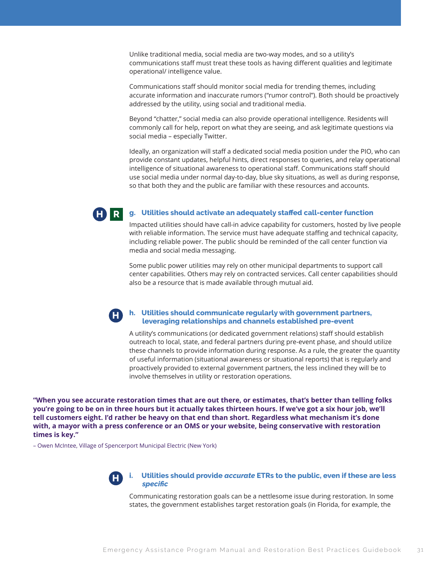Unlike traditional media, social media are two-way modes, and so a utility's communications staff must treat these tools as having different qualities and legitimate operational/ intelligence value.

Communications staff should monitor social media for trending themes, including accurate information and inaccurate rumors ("rumor control"). Both should be proactively addressed by the utility, using social and traditional media.

Beyond "chatter," social media can also provide operational intelligence. Residents will commonly call for help, report on what they are seeing, and ask legitimate questions via social media – especially Twitter.

Ideally, an organization will staff a dedicated social media position under the PIO, who can provide constant updates, helpful hints, direct responses to queries, and relay operational intelligence of situational awareness to operational staff. Communications staff should use social media under normal day-to-day, blue sky situations, as well as during response, so that both they and the public are familiar with these resources and accounts.



#### **g. Utilities should activate an adequately staffed call-center function**

Impacted utilities should have call-in advice capability for customers, hosted by live people with reliable information. The service must have adequate staffing and technical capacity, including reliable power. The public should be reminded of the call center function via media and social media messaging.

Some public power utilities may rely on other municipal departments to support call center capabilities. Others may rely on contracted services. Call center capabilities should also be a resource that is made available through mutual aid.

#### **h. Utilities should communicate regularly with government partners, leveraging relationships and channels established pre-event H**

A utility's communications (or dedicated government relations) staff should establish outreach to local, state, and federal partners during pre-event phase, and should utilize these channels to provide information during response. As a rule, the greater the quantity of useful information (situational awareness or situational reports) that is regularly and proactively provided to external government partners, the less inclined they will be to involve themselves in utility or restoration operations.

**"When you see accurate restoration times that are out there, or estimates, that's better than telling folks you're going to be on in three hours but it actually takes thirteen hours. If we've got a six hour job, we'll tell customers eight. I'd rather be heavy on that end than short. Regardless what mechanism it's done with, a mayor with a press conference or an OMS or your website, being conservative with restoration times is key."**

– Owen McIntee, Village of Spencerport Municipal Electric (New York)



**i. Utilities should provide** *accurate* **ETRs to the public, even if these are less**  *specific* 

Communicating restoration goals can be a nettlesome issue during restoration. In some states, the government establishes target restoration goals (in Florida, for example, the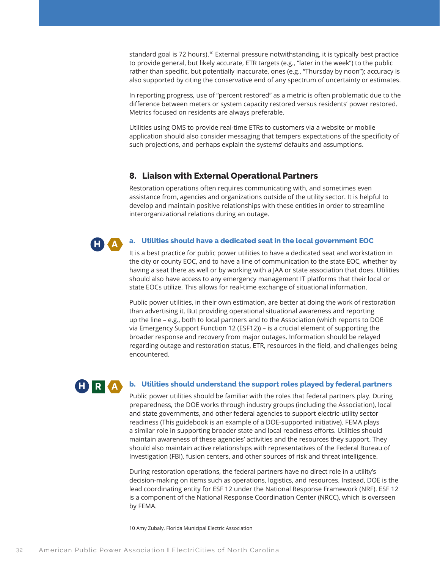standard goal is 72 hours).<sup>10</sup> External pressure notwithstanding, it is typically best practice to provide general, but likely accurate, ETR targets (e.g., "later in the week") to the public rather than specific, but potentially inaccurate, ones (e.g., "Thursday by noon"); accuracy is also supported by citing the conservative end of any spectrum of uncertainty or estimates.

In reporting progress, use of "percent restored" as a metric is often problematic due to the difference between meters or system capacity restored versus residents' power restored. Metrics focused on residents are always preferable.

Utilities using OMS to provide real-time ETRs to customers via a website or mobile application should also consider messaging that tempers expectations of the specificity of such projections, and perhaps explain the systems' defaults and assumptions.

# **8. Liaison with External Operational Partners**

Restoration operations often requires communicating with, and sometimes even assistance from, agencies and organizations outside of the utility sector. It is helpful to develop and maintain positive relationships with these entities in order to streamline interorganizational relations during an outage.

#### **a. Utilities should have a dedicated seat in the local government EOC**

It is a best practice for public power utilities to have a dedicated seat and workstation in the city or county EOC, and to have a line of communication to the state EOC, whether by having a seat there as well or by working with a JAA or state association that does. Utilities should also have access to any emergency management IT platforms that their local or state EOCs utilize. This allows for real-time exchange of situational information.

Public power utilities, in their own estimation, are better at doing the work of restoration than advertising it. But providing operational situational awareness and reporting up the line – e.g., both to local partners and to the Association (which reports to DOE via Emergency Support Function 12 (ESF12)) – is a crucial element of supporting the broader response and recovery from major outages. Information should be relayed regarding outage and restoration status, ETR, resources in the field, and challenges being encountered.



**H A**

#### **b. Utilities should understand the support roles played by federal partners**

Public power utilities should be familiar with the roles that federal partners play. During preparedness, the DOE works through industry groups (including the Association), local and state governments, and other federal agencies to support electric-utility sector readiness (This guidebook is an example of a DOE-supported initiative). FEMA plays a similar role in supporting broader state and local readiness efforts. Utilities should maintain awareness of these agencies' activities and the resources they support. They should also maintain active relationships with representatives of the Federal Bureau of Investigation (FBI), fusion centers, and other sources of risk and threat intelligence.

During restoration operations, the federal partners have no direct role in a utility's decision-making on items such as operations, logistics, and resources. Instead, DOE is the lead coordinating entity for ESF 12 under the National Response Framework (NRF). ESF 12 is a component of the National Response Coordination Center (NRCC), which is overseen by FEMA.

10 Amy Zubaly, Florida Municipal Electric Association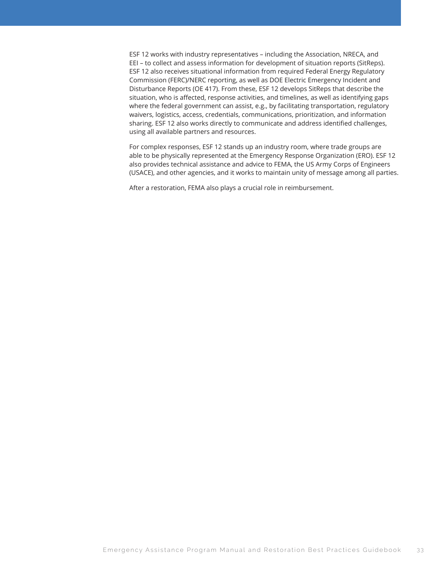ESF 12 works with industry representatives – including the Association, NRECA, and EEI – to collect and assess information for development of situation reports (SitReps). ESF 12 also receives situational information from required Federal Energy Regulatory Commission (FERC)/NERC reporting, as well as DOE Electric Emergency Incident and Disturbance Reports (OE 417). From these, ESF 12 develops SitReps that describe the situation, who is affected, response activities, and timelines, as well as identifying gaps where the federal government can assist, e.g., by facilitating transportation, regulatory waivers, logistics, access, credentials, communications, prioritization, and information sharing. ESF 12 also works directly to communicate and address identified challenges, using all available partners and resources.

For complex responses, ESF 12 stands up an industry room, where trade groups are able to be physically represented at the Emergency Response Organization (ERO). ESF 12 also provides technical assistance and advice to FEMA, the US Army Corps of Engineers (USACE), and other agencies, and it works to maintain unity of message among all parties.

After a restoration, FEMA also plays a crucial role in reimbursement.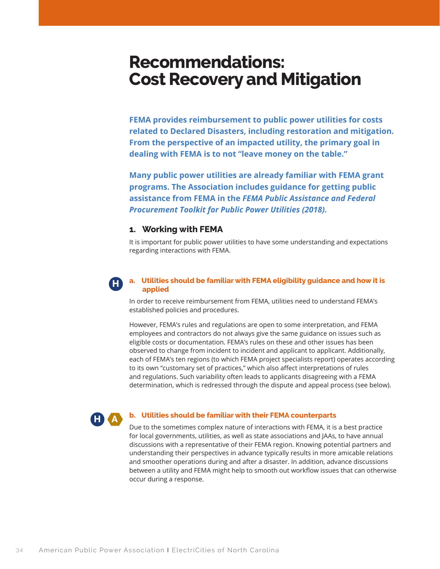# **Recommendations: Cost Recovery and Mitigation**

**FEMA provides reimbursement to public power utilities for costs related to Declared Disasters, including restoration and mitigation. From the perspective of an impacted utility, the primary goal in dealing with FEMA is to not "leave money on the table."**

**Many public power utilities are already familiar with FEMA grant programs. The Association includes guidance for getting public assistance from FEMA in the** *FEMA Public Assistance and Federal Procurement Toolkit for Public Power Utilities (2018).*

# **1. Working with FEMA**

It is important for public power utilities to have some understanding and expectations regarding interactions with FEMA.

### **a. Utilities should be familiar with FEMA eligibility guidance and how it is applied**

In order to receive reimbursement from FEMA, utilities need to understand FEMA's established policies and procedures.

However, FEMA's rules and regulations are open to some interpretation, and FEMA employees and contractors do not always give the same guidance on issues such as eligible costs or documentation. FEMA's rules on these and other issues has been observed to change from incident to incident and applicant to applicant. Additionally, each of FEMA's ten regions (to which FEMA project specialists report) operates according to its own "customary set of practices," which also affect interpretations of rules and regulations. Such variability often leads to applicants disagreeing with a FEMA determination, which is redressed through the dispute and appeal process (see below).

# **H A**

**H**

#### **b. Utilities should be familiar with their FEMA counterparts**

Due to the sometimes complex nature of interactions with FEMA, it is a best practice for local governments, utilities, as well as state associations and JAAs, to have annual discussions with a representative of their FEMA region. Knowing potential partners and understanding their perspectives in advance typically results in more amicable relations and smoother operations during and after a disaster. In addition, advance discussions between a utility and FEMA might help to smooth out workflow issues that can otherwise occur during a response.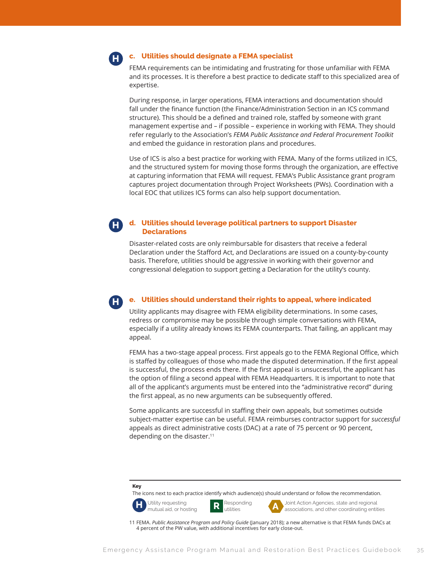

**H**

#### **c. Utilities should designate a FEMA specialist**

FEMA requirements can be intimidating and frustrating for those unfamiliar with FEMA and its processes. It is therefore a best practice to dedicate staff to this specialized area of expertise.

During response, in larger operations, FEMA interactions and documentation should fall under the finance function (the Finance/Administration Section in an ICS command structure). This should be a defined and trained role, staffed by someone with grant management expertise and – if possible – experience in working with FEMA. They should refer regularly to the Association's *FEMA Public Assistance and Federal Procurement Toolkit* and embed the guidance in restoration plans and procedures.

Use of ICS is also a best practice for working with FEMA. Many of the forms utilized in ICS, and the structured system for moving those forms through the organization, are effective at capturing information that FEMA will request. FEMA's Public Assistance grant program captures project documentation through Project Worksheets (PWs). Coordination with a local EOC that utilizes ICS forms can also help support documentation.

#### **d. Utilities should leverage political partners to support Disaster Declarations H**

Disaster-related costs are only reimbursable for disasters that receive a federal Declaration under the Stafford Act, and Declarations are issued on a county-by-county basis. Therefore, utilities should be aggressive in working with their governor and congressional delegation to support getting a Declaration for the utility's county.

#### **e. Utilities should understand their rights to appeal, where indicated**

Utility applicants may disagree with FEMA eligibility determinations. In some cases, redress or compromise may be possible through simple conversations with FEMA, especially if a utility already knows its FEMA counterparts. That failing, an applicant may appeal.

FEMA has a two-stage appeal process. First appeals go to the FEMA Regional Office, which is staffed by colleagues of those who made the disputed determination. If the first appeal is successful, the process ends there. If the first appeal is unsuccessful, the applicant has the option of filing a second appeal with FEMA Headquarters. It is important to note that all of the applicant's arguments must be entered into the "administrative record" during the first appeal, as no new arguments can be subsequently offered.

Some applicants are successful in staffing their own appeals, but sometimes outside subject-matter expertise can be useful. FEMA reimburses contractor support for *successful* appeals as direct administrative costs (DAC) at a rate of 75 percent or 90 percent, depending on the disaster.11

#### **Key**

The icons next to each practice identify which audience(s) should understand or follow the recommendation.





**H** Utility requesting **R** Responding **A** Joint Action Agencies, state and regional mutual aid, or hosting **R** utilities **A** associations, and other coordinating entities

11 FEMA. *Public Assistance Program and Policy Guide* (January 2018); a new alternative is that FEMA funds DACs at 4 percent of the PW value, with additional incentives for early close-out.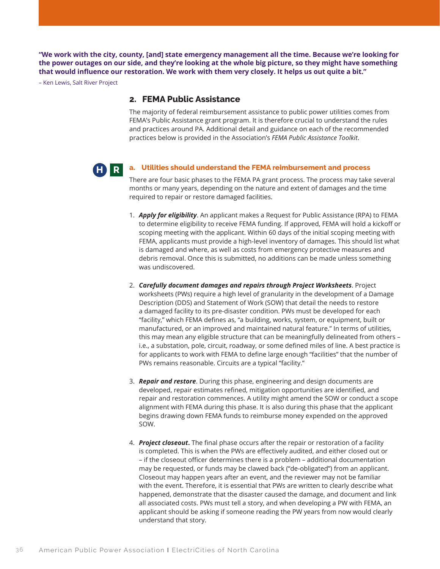**"We work with the city, county, [and] state emergency management all the time. Because we're looking for the power outages on our side, and they're looking at the whole big picture, so they might have something that would influence our restoration. We work with them very closely. It helps us out quite a bit."**

– Ken Lewis, Salt River Project

### **2. FEMA Public Assistance**

The majority of federal reimbursement assistance to public power utilities comes from FEMA's Public Assistance grant program. It is therefore crucial to understand the rules and practices around PA. Additional detail and guidance on each of the recommended practices below is provided in the Association's *FEMA Public Assistance Toolkit*.

#### **a. Utilities should understand the FEMA reimbursement and process H R**

There are four basic phases to the FEMA PA grant process. The process may take several months or many years, depending on the nature and extent of damages and the time required to repair or restore damaged facilities.

- 1. *Apply for eligibility*. An applicant makes a Request for Public Assistance (RPA) to FEMA to determine eligibility to receive FEMA funding. If approved, FEMA will hold a kickoff or scoping meeting with the applicant. Within 60 days of the initial scoping meeting with FEMA, applicants must provide a high-level inventory of damages. This should list what is damaged and where, as well as costs from emergency protective measures and debris removal. Once this is submitted, no additions can be made unless something was undiscovered.
- 2. *Carefully document damages and repairs through Project Worksheets*. Project worksheets (PWs) require a high level of granularity in the development of a Damage Description (DDS) and Statement of Work (SOW) that detail the needs to restore a damaged facility to its pre-disaster condition. PWs must be developed for each "facility," which FEMA defines as, "a building, works, system, or equipment, built or manufactured, or an improved and maintained natural feature." In terms of utilities, this may mean any eligible structure that can be meaningfully delineated from others – i.e., a substation, pole, circuit, roadway, or some defined miles of line. A best practice is for applicants to work with FEMA to define large enough "facilities" that the number of PWs remains reasonable. Circuits are a typical "facility."
- 3. *Repair and restore*. During this phase, engineering and design documents are developed, repair estimates refined, mitigation opportunities are identified, and repair and restoration commences. A utility might amend the SOW or conduct a scope alignment with FEMA during this phase. It is also during this phase that the applicant begins drawing down FEMA funds to reimburse money expended on the approved SOW.
- 4. *Project closeout***.** The final phase occurs after the repair or restoration of a facility is completed. This is when the PWs are effectively audited, and either closed out or – if the closeout officer determines there is a problem – additional documentation may be requested, or funds may be clawed back ("de-obligated") from an applicant. Closeout may happen years after an event, and the reviewer may not be familiar with the event. Therefore, it is essential that PWs are written to clearly describe what happened, demonstrate that the disaster caused the damage, and document and link all associated costs. PWs must tell a story, and when developing a PW with FEMA, an applicant should be asking if someone reading the PW years from now would clearly understand that story.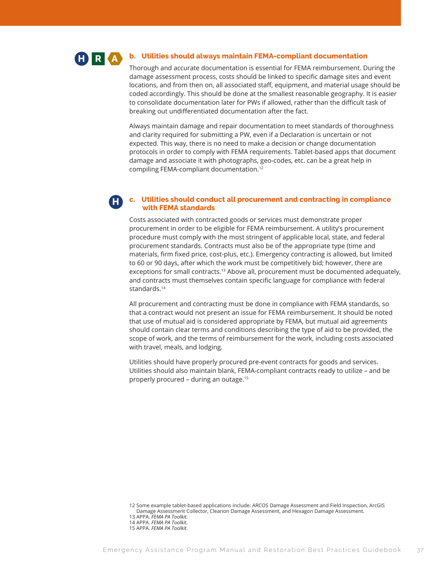

**H**

#### **b. Utilities should always maintain FEMA-compliant documentation**

Thorough and accurate documentation is essential for FEMA reimbursement. During the damage assessment process, costs should be linked to specific damage sites and event locations, and from then on, all associated staff, equipment, and material usage should be coded accordingly. This should be done at the smallest reasonable geography. It is easier to consolidate documentation later for PWs if allowed, rather than the difficult task of breaking out undifferentiated documentation after the fact.

Always maintain damage and repair documentation to meet standards of thoroughness and clarity required for submitting a PW, even if a Declaration is uncertain or not expected. This way, there is no need to make a decision or change documentation protocols in order to comply with FEMA requirements. Tablet-based apps that document damage and associate it with photographs, geo-codes, etc. can be a great help in compiling FEMA-compliant documentation.12

### **c. Utilities should conduct all procurement and contracting in compliance with FEMA standards**

Costs associated with contracted goods or services must demonstrate proper procurement in order to be eligible for FEMA reimbursement. A utility's procurement procedure must comply with the most stringent of applicable local, state, and federal procurement standards. Contracts must also be of the appropriate type (time and materials, firm fixed price, cost-plus, etc.). Emergency contracting is allowed, but limited to 60 or 90 days, after which the work must be competitively bid; however, there are exceptions for small contracts.13 Above all, procurement must be documented adequately, and contracts must themselves contain specific language for compliance with federal standards.<sup>14</sup>

All procurement and contracting must be done in compliance with FEMA standards, so that a contract would not present an issue for FEMA reimbursement. It should be noted that use of mutual aid is considered appropriate by FEMA, but mutual aid agreements should contain clear terms and conditions describing the type of aid to be provided, the scope of work, and the terms of reimbursement for the work, including costs associated with travel, meals, and lodging.

Utilities should have properly procured pre-event contracts for goods and services. Utilities should also maintain blank, FEMA-compliant contracts ready to utilize – and be properly procured – during an outage.15

12 Some example tablet-based applications include: ARCOS Damage Assessment and Field Inspection, ArcGIS Damage Assessment Collector, Clearion Damage Assessment, and Hexagon Damage Assessment.

- 13 APPA. *FEMA PA Toolkit*.
- 14 APPA. *FEMA PA Toolkit*.
- 15 APPA. *FEMA PA Toolkit*.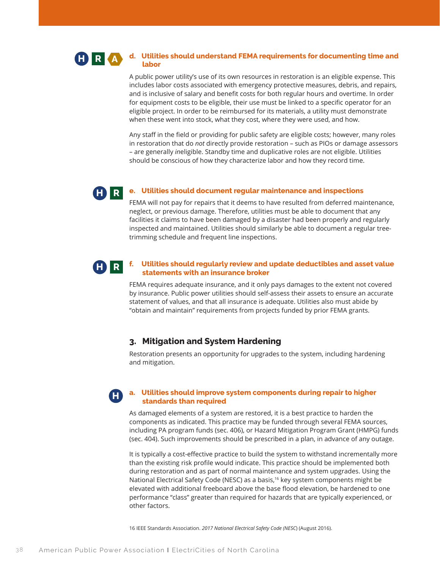#### **d. Utilities should understand FEMA requirements for documenting time and labor H R A**

A public power utility's use of its own resources in restoration is an eligible expense. This includes labor costs associated with emergency protective measures, debris, and repairs, and is inclusive of salary and benefit costs for both regular hours and overtime. In order for equipment costs to be eligible, their use must be linked to a specific operator for an eligible project. In order to be reimbursed for its materials, a utility must demonstrate when these went into stock, what they cost, where they were used, and how.

Any staff in the field or providing for public safety are eligible costs; however, many roles in restoration that do *not* directly provide restoration – such as PIOs or damage assessors – are generally *in*eligible. Standby time and duplicative roles are not eligible. Utilities should be conscious of how they characterize labor and how they record time.

#### **e. Utilities should document regular maintenance and inspections H R**

FEMA will not pay for repairs that it deems to have resulted from deferred maintenance, neglect, or previous damage. Therefore, utilities must be able to document that any facilities it claims to have been damaged by a disaster had been properly and regularly inspected and maintained. Utilities should similarly be able to document a regular treetrimming schedule and frequent line inspections.

#### **f. Utilities should regularly review and update deductibles and asset value statements with an insurance broker H R**

FEMA requires adequate insurance, and it only pays damages to the extent not covered by insurance. Public power utilities should self-assess their assets to ensure an accurate statement of values, and that all insurance is adequate. Utilities also must abide by "obtain and maintain" requirements from projects funded by prior FEMA grants.

# **3. Mitigation and System Hardening**

Restoration presents an opportunity for upgrades to the system, including hardening and mitigation.

# **H**

#### **a. Utilities should improve system components during repair to higher standards than required**

As damaged elements of a system are restored, it is a best practice to harden the components as indicated. This practice may be funded through several FEMA sources, including PA program funds (sec. 406), or Hazard Mitigation Program Grant (HMPG) funds (sec. 404). Such improvements should be prescribed in a plan, in advance of any outage.

It is typically a cost-effective practice to build the system to withstand incrementally more than the existing risk profile would indicate. This practice should be implemented both during restoration and as part of normal maintenance and system upgrades. Using the National Electrical Safety Code (NESC) as a basis,16 key system components might be elevated with additional freeboard above the base flood elevation, be hardened to one performance "class" greater than required for hazards that are typically experienced, or other factors.

16 IEEE Standards Association. *2017 National Electrical Safety Code (NESC*) (August 2016).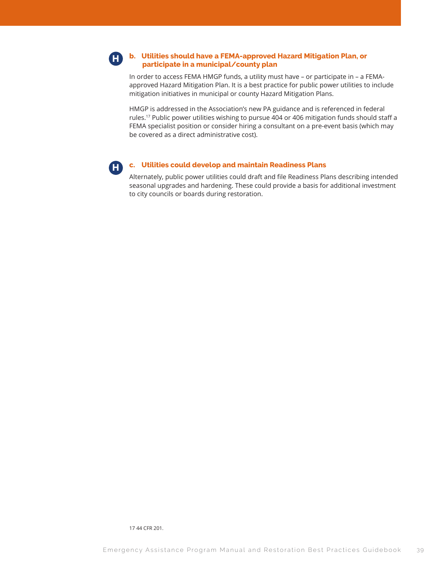#### **b. Utilities should have a FEMA-approved Hazard Mitigation Plan, or participate in a municipal/county plan H**

In order to access FEMA HMGP funds, a utility must have – or participate in – a FEMAapproved Hazard Mitigation Plan. It is a best practice for public power utilities to include mitigation initiatives in municipal or county Hazard Mitigation Plans.

HMGP is addressed in the Association's new PA guidance and is referenced in federal rules.17 Public power utilities wishing to pursue 404 or 406 mitigation funds should staff a FEMA specialist position or consider hiring a consultant on a pre-event basis (which may be covered as a direct administrative cost).



### **c. Utilities could develop and maintain Readiness Plans**

Alternately, public power utilities could draft and file Readiness Plans describing intended seasonal upgrades and hardening. These could provide a basis for additional investment to city councils or boards during restoration.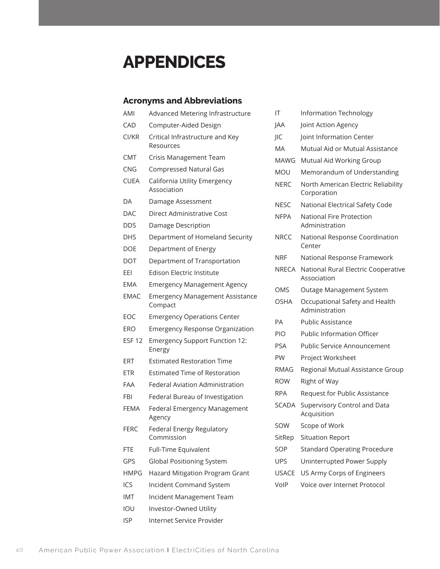# **APPENDICES**

# **Acronyms and Abbreviations**

| AMI           | Advanced Metering Infrastructure                  |   |
|---------------|---------------------------------------------------|---|
| CAD           | Computer-Aided Design                             | J |
| CI/KR         | Critical Infrastructure and Key<br>Resources      | J |
| <b>CMT</b>    | Crisis Management Team                            |   |
| <b>CNG</b>    | <b>Compressed Natural Gas</b>                     |   |
| <b>CUEA</b>   | California Utility Emergency<br>Association       |   |
| DA            | Damage Assessment                                 |   |
| <b>DAC</b>    | <b>Direct Administrative Cost</b>                 |   |
| DDS           | Damage Description                                |   |
| <b>DHS</b>    | Department of Homeland Security                   | I |
| DOE           | Department of Energy                              |   |
| DOT           | Department of Transportation                      |   |
| EEI           | Edison Electric Institute                         |   |
| <b>EMA</b>    | <b>Emergency Management Agency</b>                |   |
| <b>EMAC</b>   | <b>Emergency Management Assistance</b><br>Compact |   |
| EOC           | <b>Emergency Operations Center</b>                |   |
| ERO           | <b>Emergency Response Organization</b>            |   |
| <b>ESF 12</b> | <b>Emergency Support Function 12:</b><br>Energy   |   |
| ERT           | <b>Estimated Restoration Time</b>                 |   |
| ETR           | <b>Estimated Time of Restoration</b>              |   |
| FAA           | <b>Federal Aviation Administration</b>            |   |
| FBI           | Federal Bureau of Investigation                   |   |
| <b>FEMA</b>   | Federal Emergency Management<br>Agency            |   |
| <b>FERC</b>   | Federal Energy Regulatory<br>Commission           | í |
| <b>FTE</b>    | Full-Time Equivalent                              |   |
| GPS           | <b>Global Positioning System</b>                  |   |
| <b>HMPG</b>   | Hazard Mitigation Program Grant                   |   |
| ICS           | Incident Command System                           |   |
| IMT           | Incident Management Team                          |   |
|               |                                                   |   |

- IOU Investor-Owned Utility
- ISP Internet Service Provider

| ΙT          | <b>Information Technology</b>                      |
|-------------|----------------------------------------------------|
| JAA         | Joint Action Agency                                |
| JIC         | Joint Information Center                           |
| МA          | Mutual Aid or Mutual Assistance                    |
| MAWG        | Mutual Aid Working Group                           |
| MOU         | Memorandum of Understanding                        |
| NERC        | North American Electric Reliability<br>Corporation |
| NESC        | National Electrical Safety Code                    |
| <b>NFPA</b> | National Fire Protection<br>Administration         |
| NRCC        | National Response Coordination<br>Center           |
| NRF         | National Response Framework                        |
| NRECA       | National Rural Electric Cooperative<br>Association |
| OMS         | Outage Management System                           |
| OSHA        | Occupational Safety and Health<br>Administration   |
| PА          | <b>Public Assistance</b>                           |
| PIO         | <b>Public Information Officer</b>                  |
| PSA         | <b>Public Service Announcement</b>                 |
| PW          | Project Worksheet                                  |
| RMAG        | Regional Mutual Assistance Group                   |
| <b>ROW</b>  | Right of Way                                       |
| RPA         | Request for Public Assistance                      |
| SCADA       | Supervisory Control and Data<br>Acquisition        |
| SOW         | Scope of Work                                      |
| SitRep      | <b>Situation Report</b>                            |
| SOP         | <b>Standard Operating Procedure</b>                |
| <b>UPS</b>  | Uninterrupted Power Supply                         |
| USACE       | US Army Corps of Engineers                         |
| VoIP        | Voice over Internet Protocol                       |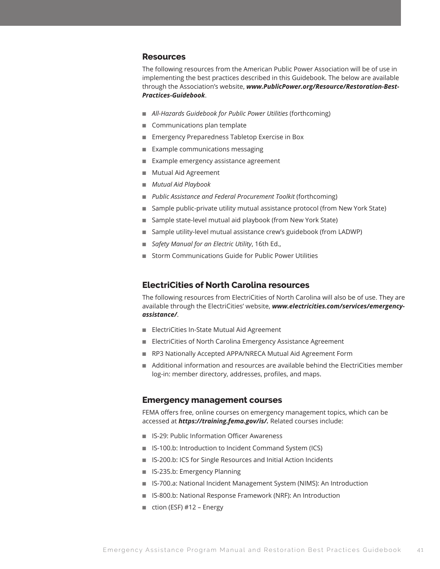### **Resources**

The following resources from the American Public Power Association will be of use in implementing the best practices described in this Guidebook. The below are available through the Association's website, *www.PublicPower.org/Resource/Restoration-Best-Practices-Guidebook*.

- *All-Hazards Guidebook for Public Power Utilities* (forthcoming)
- Communications plan template
- Emergency Preparedness Tabletop Exercise in Box
- Example communications messaging
- Example emergency assistance agreement
- Mutual Aid Agreement
- *Mutual Aid Playbook*
- *Public Assistance and Federal Procurement Toolkit* (forthcoming)
- Sample public-private utility mutual assistance protocol (from New York State)
- Sample state-level mutual aid playbook (from New York State)
- Sample utility-level mutual assistance crew's guidebook (from LADWP)
- *Safety Manual for an Electric Utility*, 16th Ed.,
- Storm Communications Guide for Public Power Utilities

# **ElectriCities of North Carolina resources**

The following resources from ElectriCities of North Carolina will also be of use. They are available through the ElectriCities' website, *www.electricities.com/services/emergencyassistance/*.

- ElectriCities In-State Mutual Aid Agreement
- ElectriCities of North Carolina Emergency Assistance Agreement
- RP3 Nationally Accepted APPA/NRECA Mutual Aid Agreement Form
- Additional information and resources are available behind the ElectriCities member log-in: member directory, addresses, profiles, and maps.

### **Emergency management courses**

FEMA offers free, online courses on emergency management topics, which can be accessed at *https://training.fema.gov/is/.* Related courses include:

- IS-29: Public Information Officer Awareness
- IS-100.b: Introduction to Incident Command System (ICS)
- IS-200.b: ICS for Single Resources and Initial Action Incidents
- IS-235.b: Emergency Planning
- IS-700.a: National Incident Management System (NIMS): An Introduction
- IS-800.b: National Response Framework (NRF): An Introduction
- ction (ESF) #12 Energy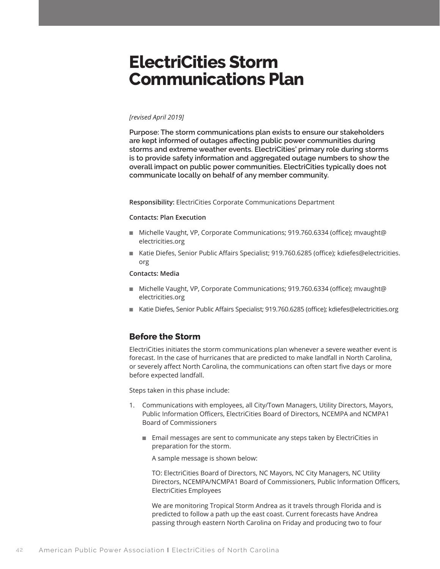# **ElectriCities Storm Communications Plan**

#### *[revised April 2019]*

**Purpose: The storm communications plan exists to ensure our stakeholders are kept informed of outages affecting public power communities during storms and extreme weather events. ElectriCities' primary role during storms is to provide safety information and aggregated outage numbers to show the overall impact on public power communities. ElectriCities typically does not communicate locally on behalf of any member community.**

**Responsibility:** ElectriCities Corporate Communications Department

#### **Contacts: Plan Execution**

- Michelle Vaught, VP, Corporate Communications; 919.760.6334 (office); mvaught@ electricities.org
- Katie Diefes, Senior Public Affairs Specialist; 919.760.6285 (office); kdiefes@electricities. org

#### **Contacts: Media**

- Michelle Vaught, VP, Corporate Communications; 919.760.6334 (office); mvaught@ electricities.org
- Katie Diefes, Senior Public Affairs Specialist; 919.760.6285 (office); kdiefes@electricities.org

# **Before the Storm**

ElectriCities initiates the storm communications plan whenever a severe weather event is forecast. In the case of hurricanes that are predicted to make landfall in North Carolina, or severely affect North Carolina, the communications can often start five days or more before expected landfall.

Steps taken in this phase include:

- 1. Communications with employees, all City/Town Managers, Utility Directors, Mayors, Public Information Officers, ElectriCities Board of Directors, NCEMPA and NCMPA1 Board of Commissioners
	- Email messages are sent to communicate any steps taken by ElectriCities in preparation for the storm.

A sample message is shown below:

TO: ElectriCities Board of Directors, NC Mayors, NC City Managers, NC Utility Directors, NCEMPA/NCMPA1 Board of Commissioners, Public Information Officers, ElectriCities Employees

We are monitoring Tropical Storm Andrea as it travels through Florida and is predicted to follow a path up the east coast. Current forecasts have Andrea passing through eastern North Carolina on Friday and producing two to four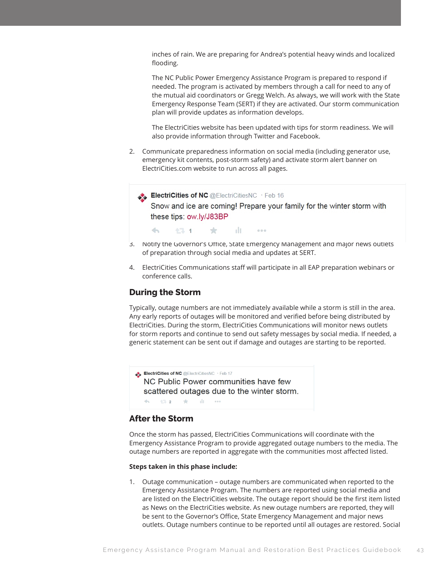inches of rain. We are preparing for Andrea's potential heavy winds and localized flooding.

The NC Public Power Emergency Assistance Program is prepared to respond if needed. The program is activated by members through a call for need to any of the mutual aid coordinators or Gregg Welch. As always, we will work with the State Emergency Response Team (SERT) if they are activated. Our storm communication plan will provide updates as information develops.

The ElectriCities website has been updated with tips for storm readiness. We will also provide information through Twitter and Facebook.

- 2. Communicate preparedness information on social media (including generator use, emergency kit contents, post-storm safety) and activate storm alert banner on ElectriCities.com website to run across all pages.
	- ElectriCities of NC @ElectriCitiesNC · Feb 16

Snow and ice are coming! Prepare your family for the winter storm with these tips: ow.ly/J83BP

 $\leftarrow$ 金 alt. 17.1  $0.0.0$ 

- 3. Notify the Governor's Office, State Emergency Management and major news outlets of preparation through social media and updates at SERT.
- 4. ElectriCities Communications staff will participate in all EAP preparation webinars or conference calls.

# **During the Storm**

Typically, outage numbers are not immediately available while a storm is still in the area. Any early reports of outages will be monitored and verified before being distributed by ElectriCities. During the storm, ElectriCities Communications will monitor news outlets for storm reports and continue to send out safety messages by social media. If needed, a generic statement can be sent out if damage and outages are starting to be reported.

ElectriCities of NC @ElectriCitiesNC · Feb 17 NC Public Power communities have few scattered outages due to the winter storm.  $\sim$  alt $\sim$  $\mathcal{A}_{\mathcal{N}}$  . 七、 2 大  $0.00$ 

# **After the Storm**

Once the storm has passed, ElectriCities Communications will coordinate with the Emergency Assistance Program to provide aggregated outage numbers to the media. The outage numbers are reported in aggregate with the communities most affected listed.

#### **Steps taken in this phase include:**

1. Outage communication – outage numbers are communicated when reported to the Emergency Assistance Program. The numbers are reported using social media and are listed on the ElectriCities website. The outage report should be the first item listed as News on the ElectriCities website. As new outage numbers are reported, they will be sent to the Governor's Office, State Emergency Management and major news outlets. Outage numbers continue to be reported until all outages are restored. Social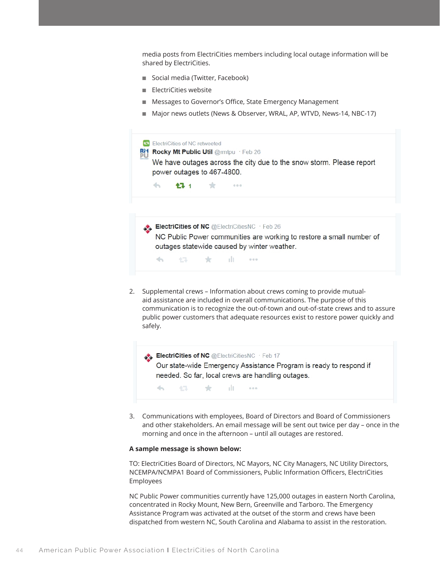media posts from ElectriCities members including local outage information will be shared by ElectriCities.

- Social media (Twitter, Facebook)
- ElectriCities website
- Messages to Governor's Office, State Emergency Management
- Major news outlets (News & Observer, WRAL, AP, WTVD, News-14, NBC-17)



ElectriCities of NC @ElectriCitiesNC · Feb 17 Our state-wide Emergency Assistance Program is ready to respond if needed. So far, local crews are handling outages.  $\rightarrow$ 七十二 大 alt - $-0.0.0$ 

3. Communications with employees, Board of Directors and Board of Commissioners and other stakeholders. An email message will be sent out twice per day – once in the morning and once in the afternoon – until all outages are restored.

#### **A sample message is shown below:**

TO: ElectriCities Board of Directors, NC Mayors, NC City Managers, NC Utility Directors, NCEMPA/NCMPA1 Board of Commissioners, Public Information Officers, ElectriCities Employees

NC Public Power communities currently have 125,000 outages in eastern North Carolina, concentrated in Rocky Mount, New Bern, Greenville and Tarboro. The Emergency Assistance Program was activated at the outset of the storm and crews have been dispatched from western NC, South Carolina and Alabama to assist in the restoration.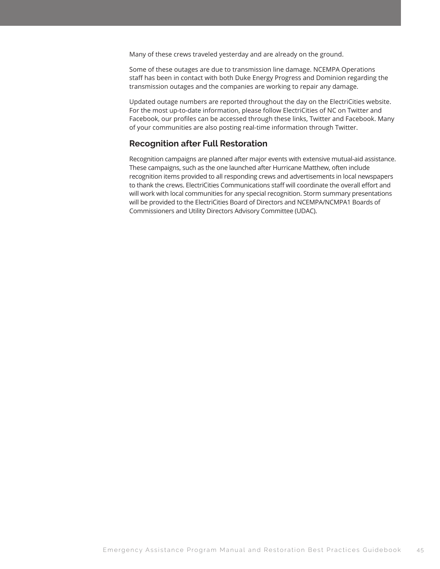Many of these crews traveled yesterday and are already on the ground.

Some of these outages are due to transmission line damage. NCEMPA Operations staff has been in contact with both Duke Energy Progress and Dominion regarding the transmission outages and the companies are working to repair any damage.

Updated outage numbers are reported throughout the day on the ElectriCities website. For the most up-to-date information, please follow ElectriCities of NC on Twitter and Facebook, our profiles can be accessed through these links, Twitter and Facebook. Many of your communities are also posting real-time information through Twitter.

# **Recognition after Full Restoration**

Recognition campaigns are planned after major events with extensive mutual-aid assistance. These campaigns, such as the one launched after Hurricane Matthew, often include recognition items provided to all responding crews and advertisements in local newspapers to thank the crews. ElectriCities Communications staff will coordinate the overall effort and will work with local communities for any special recognition. Storm summary presentations will be provided to the ElectriCities Board of Directors and NCEMPA/NCMPA1 Boards of Commissioners and Utility Directors Advisory Committee (UDAC).